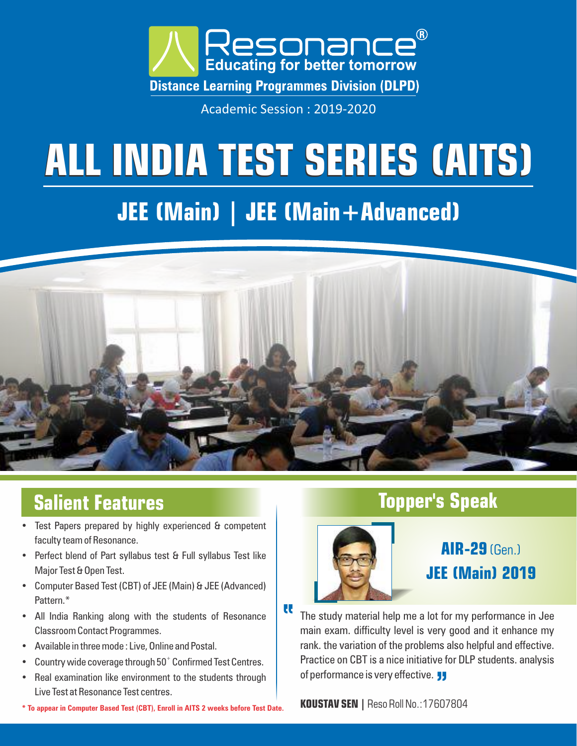

Academic Session : 2019-2020

# **ALL INDIA TEST SERIES (AITS)**

# **JEE (Main) | JEE (Main+Advanced)**



U

# **Salient Features**

- Test Papers prepared by highly experienced & competent faculty team of Resonance.
- Perfect blend of Part syllabus test & Full syllabus Test like Major Test & Open Test.
- Computer Based Test (CBT) of JEE (Main) & JEE (Advanced) Pattern.\*
- All India Ranking along with the students of Resonance Classroom Contact Programmes.
- Available in three mode : Live, Online and Postal.
- Country wide coverage through  $50<sup>+</sup>$  Confirmed Test Centres.
- Real examination like environment to the students through Live Test at Resonance Test centres.
- **KOUSTAV SEN |** Reso Roll No.:17607804 **\* To appear in Computer Based Test (CBT), Enroll in AITS 2 weeks before Test Date.**

## **Topper's Speak**



# **AIR-29**(Gen.) **JEE (Main) 2019**

The study material help me a lot for my performance in Jee main exam. difficulty level is very good and it enhance my rank. the variation of the problems also helpful and effective. Practice on CBT is a nice initiative for DLP students. analysis of performance is very effective.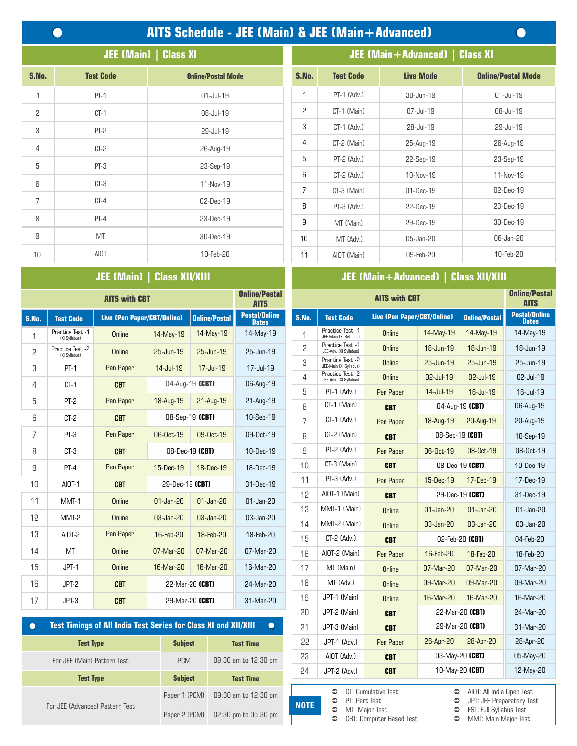# **AITS Schedule - JEE (Main) & JEE (Main+Advanced)**

 $\bullet$ 

| <b>JEE (Main)   Class XI</b> |                  |                           |  |  |  |  |  |
|------------------------------|------------------|---------------------------|--|--|--|--|--|
| S.No.                        | <b>Test Code</b> | <b>Online/Postal Mode</b> |  |  |  |  |  |
| 1                            | $PT-1$           | $01$ -Jul-19              |  |  |  |  |  |
| 2                            | $CT-1$           | 08-Jul-19                 |  |  |  |  |  |
| 3                            | PT-2             | 29-Jul-19                 |  |  |  |  |  |
| $\overline{4}$               | CT-2             | 26-Aug-19                 |  |  |  |  |  |
| 5                            | $PT-3$           | 23-Sep-19                 |  |  |  |  |  |
| 6                            | $CT-3$           | 11-Nov-19                 |  |  |  |  |  |
| $\overline{7}$               | $CT-4$           | 02-Dec-19                 |  |  |  |  |  |
| 8                            | $PT-4$           | 23-Dec-19                 |  |  |  |  |  |
| 9                            | MT               | 30-Dec-19                 |  |  |  |  |  |
| 10                           | AIOT             | 10-Feb-20                 |  |  |  |  |  |

## **JEE (Main) | Class XII/XIII**

|       | <b>AITS with CBT</b>              |                             |                 |                        |                                      |       |                                            | <b>AITS with CBT</b>               |              |
|-------|-----------------------------------|-----------------------------|-----------------|------------------------|--------------------------------------|-------|--------------------------------------------|------------------------------------|--------------|
| S.No. | <b>Test Code</b>                  | Live (Pen Paper/CBT/Online) |                 | <b>Online/Postal</b>   | <b>Postal/Online</b><br><b>Dates</b> | S.No. | <b>Test Code</b>                           | <b>Live (Pen Paper/CBT/Online)</b> |              |
| 1     | Practice Test -1<br>(XI Svilabus) | Online                      | 14-May-19       | 14-May-19              | 14-May-19                            | 1     | Practice Test -1<br>JEE-Main (XI Syllabus) | Online                             | 14-May-19    |
| 2     | Practice Test -2<br>(XI Syllabus) | Online                      | 25-Jun-19       | 25-Jun-19              | 25-Jun-19                            | 2     | Practice Test -1<br>JEE-Adv. (XI Syllabus) | <b>Online</b>                      | 18-Jun-19    |
| 3     | $PT-1$                            | Pen Paper                   | 14-Jul-19       | 17-Jul-19              | 17-Jul-19                            | 3     | Practice Test -2<br>JEE-Main (XI Syllabus) | Online                             | 25-Jun-19    |
| 4     | $CT-1$                            | <b>CBT</b>                  |                 | 04-Aug-19 (CBT)        | 06-Aug-19                            | 4     | Practice Test -2<br>JEE-Adv. (XI Syllabus) | Online                             | 02-Jul-19    |
|       |                                   |                             |                 |                        |                                      | 5     | $PT-1$ (Adv.)                              | Pen Paper                          | 14-Jul-19    |
| 5     | $PT-2$                            | Pen Paper                   | 18-Aug-19       | 21-Aug-19              | 21-Aug-19                            | ĥ     | CT-1 (Main)                                | <b>CBT</b>                         | 04-Au        |
| 6     | $CT-2$                            | <b>CBT</b>                  |                 | 08-Sep-19 (CBT)        | 10-Sep-19                            | 7     | CT-1 (Adv.)                                | Pen Paper                          | 18-Aug-19    |
| 7     | $PT-3$                            | Pen Paper                   | 06-Oct-19       | 09-0 <sub>ct</sub> -19 | 09-0ct-19                            | 8     | CT-2 (Main)                                | <b>CBT</b>                         | 08-Se        |
| 8     | $CT-3$                            | <b>CBT</b>                  |                 | 08-Dec-19 (CBT)        | 10-Dec-19                            | 9     | PT-2 (Adv.)                                | Pen Paper                          | 06-0ct-19    |
| 9     | $PT-4$                            | Pen Paper                   | 15-Dec-19       | 18-Dec-19              | 18-Dec-19                            | 10    | CT-3 (Main)                                | <b>CBT</b>                         | $08 - De$    |
| 10    | AIOT-1                            | <b>CBT</b>                  | 29-Dec-19 (CBT) |                        | 31-Dec-19                            | 11    | PT-3 (Adv.)                                | Pen Paper                          | 15-Dec-19    |
| 11    | MMT-1                             | Online                      | $01$ -Jan-20    | $01$ -Jan-20           | $01$ -Jan-20                         | 12    | AIOT-1 (Main)                              | <b>CBT</b>                         | $29-De$      |
|       |                                   |                             |                 |                        |                                      | 13    | MMT-1 (Main)                               | Online                             | $01$ -Jan-20 |
| 12    | MMT-2                             | Online                      | 03-Jan-20       | 03-Jan-20              | 03-Jan-20                            | 14    | MMT-2 (Main)                               | Online                             | 03-Jan-20    |
| 13    | AI0T-2                            | Pen Paper                   | 16-Feb-20       | 18-Feb-20              | 18-Feb-20                            | 15    | $CT-2$ (Adv.)                              | <b>CBT</b>                         | $02-Fe$      |
| 14    | MT                                | Online                      | 07-Mar-20       | 07-Mar-20              | 07-Mar-20                            | 16    | AIOT-2 (Main)                              | Pen Paper                          | 16-Feb-20    |
| 15    | $JPT-1$                           | Online                      | 16-Mar-20       | 16-Mar-20              | 16-Mar-20                            | 17    | MT (Main)                                  | Online                             | 07-Mar-20    |
| 16    | JPT-2                             | <b>CBT</b>                  |                 | 22-Mar-20 (CBT)        | 24-Mar-20                            | 18    | MT (Adv.)                                  | Online                             | 09-Mar-20    |
| 17    | JPT-3                             | <b>CBT</b>                  |                 | 29-Mar-20 (CBT)        | 31-Mar-20                            | 19    | JPT-1 (Main)                               | Online                             | 16-Mar-20    |
|       |                                   |                             |                 |                        |                                      |       |                                            |                                    |              |

| <b>Test Timings of All India Test Series for Class XI and XII/XIII</b> |                |                      |  |  |  |  |  |
|------------------------------------------------------------------------|----------------|----------------------|--|--|--|--|--|
| <b>Test Type</b>                                                       | <b>Subject</b> | <b>Test Time</b>     |  |  |  |  |  |
| For JEE (Main) Pattern Test                                            | <b>PCM</b>     | 09:30 am to 12:30 pm |  |  |  |  |  |
| <b>Test Type</b>                                                       | <b>Subject</b> | <b>Test Time</b>     |  |  |  |  |  |
|                                                                        | Paper 1 (PCM)  | 09:30 am to 12:30 pm |  |  |  |  |  |
| For JEE (Advanced) Pattern Test                                        | Paper 2 (PCM)  | 02:30 pm to 05:30 pm |  |  |  |  |  |

| <b>XI</b>                 |                 | <b>JEE (Main+Advanced)   Class XI</b> |                  |                           |  |  |  |  |
|---------------------------|-----------------|---------------------------------------|------------------|---------------------------|--|--|--|--|
| <b>Online/Postal Mode</b> | S.No.           | <b>Test Code</b>                      | <b>Live Mode</b> | <b>Online/Postal Mode</b> |  |  |  |  |
| $01$ -Jul-19              | 1               | PT-1 (Adv.)                           | 30-Jun-19        | 01-Jul-19                 |  |  |  |  |
| 08-Jul-19                 | 2               | CT-1 (Main)                           | 07-Jul-19        | 08-Jul-19                 |  |  |  |  |
| 29-Jul-19                 | 3               | $CT-1$ $(Adv.)$                       | $28 -$ Jul-19    | $29 -$ Jul-19             |  |  |  |  |
| 26-Aug-19                 | 4               | CT-2 (Main)                           | 25-Aug-19        | 26-Aug-19                 |  |  |  |  |
| 23-Sep-19                 | 5               | $PT-2$ (Adv.)                         | 22-Sep-19        | 23-Sep-19                 |  |  |  |  |
| 11-Nov-19                 | 6               | $CT-2$ $(Adv.)$                       | 10-Nov-19        | 11-Nov-19                 |  |  |  |  |
|                           | $\overline{7}$  | CT-3 (Main)                           | $01$ -Dec-19     | 02-Dec-19                 |  |  |  |  |
| $02$ -Dec-19              | 8               | PT-3 (Adv.)                           | 22-Dec-19        | 23-Dec-19                 |  |  |  |  |
| 23-Dec-19                 | 9               | MT (Main)                             | 29-Dec-19        | 30-Dec-19                 |  |  |  |  |
| 30-Dec-19                 | 10 <sup>1</sup> | MT (Adv.)                             | 05-Jan-20        | 06-Jan-20                 |  |  |  |  |
| 10-Feb-20                 | 11              | AIOT (Main)                           | 09-Feb-20        | 10-Feb-20                 |  |  |  |  |

## **JEE (Main+Advanced) | Class XII/XIII**

| <b>AITS with CBT</b>       |                                                        |                      | <b>Online/Postal</b><br><b>AITS</b>              | <b>Online/Postal</b><br><b>AITS with CBT</b> |                                            |                                                   |              |                                                                                     |                                      |
|----------------------------|--------------------------------------------------------|----------------------|--------------------------------------------------|----------------------------------------------|--------------------------------------------|---------------------------------------------------|--------------|-------------------------------------------------------------------------------------|--------------------------------------|
| ive (Pen Paper/CBT/Online) |                                                        | <b>Online/Postal</b> | <b>Postal/Online</b><br><b>Dates</b>             | S.No.                                        | <b>Test Code</b>                           | <b>Live (Pen Paper/CBT/Online)</b>                |              | <b>Online/Postal</b>                                                                | <b>Postal/Online</b><br><b>Dates</b> |
| Online                     | 14-May-19                                              | 14-May-19            | 14-May-19                                        | 1                                            | Practice Test -1<br>JEE-Main (XI Syllabus) | <b>Online</b>                                     | 14-May-19    | 14-May-19                                                                           | 14-May-19                            |
| <b>Online</b>              | 25-Jun-19                                              | 25-Jun-19            | 25-Jun-19                                        | 2                                            | Practice Test -1<br>JEE-Adv. (XI Syllabus) | <b>Online</b>                                     | 18-Jun-19    | 18-Jun-19                                                                           | 18-Jun-19                            |
| Pen Paper                  | 14-Jul-19                                              | 17-Jul-19            | 17-Jul-19                                        | 3                                            | Practice Test -2<br>JEE-Main (XI Syllabus) | <b>Online</b>                                     | 25-Jun-19    | 25-Jun-19                                                                           | 25-Jun-19                            |
| <b>CBT</b>                 |                                                        | 04-Aug-19 (CBT)      | 06-Aug-19                                        | 4                                            | Practice Test -2<br>JEE-Adv. (XI Syllabus) | Online                                            | 02-Jul-19    | 02-Jul-19                                                                           | 02-Jul-19                            |
|                            |                                                        |                      |                                                  | 5                                            | PT-1 (Adv.)                                | Pen Paper                                         | 14-Jul-19    | 16-Jul-19                                                                           | 16-Jul-19                            |
| Pen Paper                  | 18-Aug-19                                              | 21-Aug-19            | 21-Aug-19                                        | 6                                            | CT-1 (Main)                                | <b>CBT</b>                                        |              | 04-Aug-19 (CBT)                                                                     | 06-Aug-19                            |
| <b>CBT</b>                 |                                                        | 08-Sep-19 (CBT)      | 10-Sep-19                                        | 7                                            | CT-1 (Adv.)                                | Pen Paper                                         | 18-Aug-19    | 20-Aug-19                                                                           | 20-Aug-19                            |
| Pen Paper                  | 06-0ct-19                                              | 09-0ct-19            | 09-0ct-19                                        | 8                                            | CT-2 (Main)                                | <b>CBT</b>                                        |              | 08-Sep-19 (CBT)                                                                     | 10-Sep-19                            |
| <b>CBT</b>                 |                                                        | 08-Dec-19 (CBT)      | 10-Dec-19                                        | 9                                            | PT-2 (Adv.)                                | Pen Paper                                         | 06-0ct-19    | 08-Oct-19                                                                           | 08-0ct-19                            |
| Pen Paper                  | 15-Dec-19                                              | 18-Dec-19            | 18-Dec-19                                        | 10                                           | CT-3 (Main)                                | <b>CBT</b>                                        |              | 08-Dec-19 (CBT)                                                                     | 10-Dec-19                            |
| <b>CBT</b>                 | 29-Dec-19 (CBT)                                        |                      | 31-Dec-19                                        | 11                                           | PT-3 (Adv.)                                | Pen Paper                                         | 15-Dec-19    | 17-Dec-19                                                                           | 17-Dec-19                            |
| <b>Online</b>              | 01-Jan-20                                              | 01-Jan-20            | 01-Jan-20                                        | 12                                           | AIOT-1 (Main)                              | <b>CBT</b>                                        |              | 29-Dec-19 (CBT)                                                                     | 31-Dec-19                            |
| Online                     | 03-Jan-20                                              | 03-Jan-20            | 03-Jan-20                                        | 13                                           | MMT-1 (Main)                               | Online                                            | $01$ -Jan-20 | $01$ -Jan-20                                                                        | 01-Jan-20                            |
|                            |                                                        |                      |                                                  | 14                                           | MMT-2 (Main)                               | Online                                            | 03-Jan-20    | 03-Jan-20                                                                           | 03-Jan-20                            |
| Pen Paper                  | 16-Feb-20                                              | 18-Feb-20            | 18-Feb-20                                        | 15                                           | CT-2 (Adv.)                                | <b>CBT</b>                                        |              | 02-Feb-20 (CBT)                                                                     | 04-Feb-20                            |
| Online                     | 07-Mar-20                                              | 07-Mar-20            | 07-Mar-20                                        | 16                                           | AIOT-2 (Main)                              | Pen Paper                                         | 16-Feb-20    | 18-Feb-20                                                                           | 18-Feb-20                            |
| <b>Online</b>              | 16-Mar-20                                              | 16-Mar-20            | 16-Mar-20                                        | 17                                           | MT (Main)                                  | Online                                            | 07-Mar-20    | 07-Mar-20                                                                           | 07-Mar-20                            |
| <b>CBT</b>                 |                                                        | 22-Mar-20 (CBT)      | 24-Mar-20                                        | 18                                           | MT (Adv.)                                  | <b>Online</b>                                     | 09-Mar-20    | 09-Mar-20                                                                           | 09-Mar-20                            |
| <b>CBT</b>                 |                                                        | 29-Mar-20 (CBT)      | 31-Mar-20                                        | 19                                           | JPT-1 (Main)                               | Online                                            | 16-Mar-20    | 16-Mar-20                                                                           | 16-Mar-20                            |
|                            |                                                        |                      |                                                  | 20                                           | JPT-2 (Main)                               | <b>CBT</b>                                        |              | 22-Mar-20 (CBT)                                                                     | 24-Mar-20                            |
|                            | <b>All India Test Series for Class XI and XII/XIII</b> |                      | $\bullet$                                        | 21                                           | JPT-3 (Main)                               | <b>CBT</b>                                        |              | 29-Mar-20 (CBT)                                                                     | 31-Mar-20                            |
|                            | <b>Subject</b>                                         |                      | <b>Test Time</b>                                 | 22                                           | JPT-1 (Adv.)                               | Pen Paper                                         | 26-Apr-20    | 28-Apr-20                                                                           | 28-Apr-20                            |
| tern Test                  | <b>PCM</b>                                             |                      | 09:30 am to 12:30 pm                             | 23                                           | AIOT (Adv.)                                | <b>CBT</b>                                        |              | 03-May-20 (CBT)                                                                     | 05-May-20                            |
|                            | <b>Subject</b>                                         |                      | <b>Test Time</b>                                 | 24                                           | JPT-2 (Adv.)                               | <b>CBT</b>                                        |              | 10-May-20 (CBT)                                                                     | 12-May-20                            |
|                            |                                                        |                      |                                                  |                                              | €                                          | CT: Cumulative Test                               | €            | AIOT: All India Open Test                                                           |                                      |
| attern Test                | Paper 1 (PCM)<br>Paper 2 (PCM)                         |                      | 09:30 am to 12:30 pm<br>$02:30$ pm to $05:30$ pm | <b>NOTE</b>                                  | PT: Part Test<br>€<br>€<br>$\bullet$       | MT: Major Test<br><b>CBT: Computer Based Test</b> | €<br>€<br>€  | JPT: JEE Preparatory Test<br>FST: Full Syllabus Test<br><b>MMT: Main Maior Test</b> |                                      |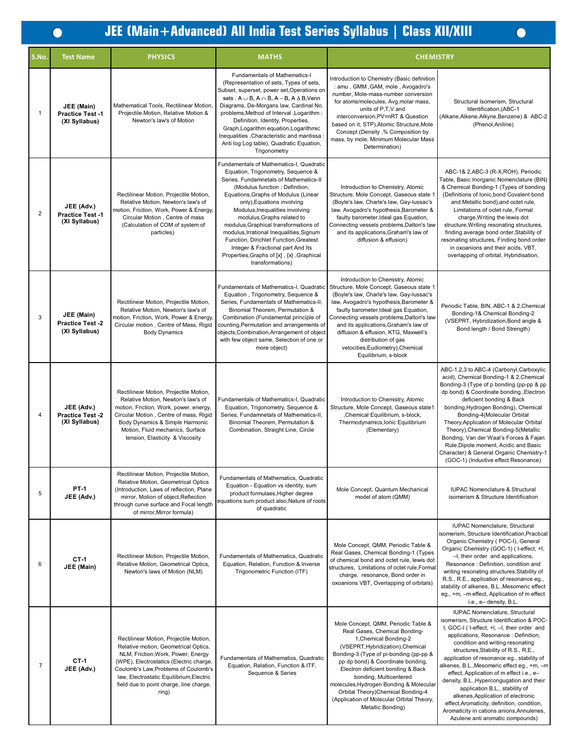$\bullet$ 

# **JEE (Main+Advanced) All India Test Series Syllabus | Class XII/XIII**

| S.No.            | <b>Test Name</b>                                      | <b>PHYSICS</b>                                                                                                                                                                                                                                                                                          | <b>MATHS</b>                                                                                                                                                                                                                                                                                                                                                                                                                                                                                                                           | <b>CHEMISTRY</b>                                                                                                                                                                                                                                                                                                                                                                                                                   |                                                                                                                                                                                                                                                                                                                                                                                                                                                                                                                                                                                                                                               |
|------------------|-------------------------------------------------------|---------------------------------------------------------------------------------------------------------------------------------------------------------------------------------------------------------------------------------------------------------------------------------------------------------|----------------------------------------------------------------------------------------------------------------------------------------------------------------------------------------------------------------------------------------------------------------------------------------------------------------------------------------------------------------------------------------------------------------------------------------------------------------------------------------------------------------------------------------|------------------------------------------------------------------------------------------------------------------------------------------------------------------------------------------------------------------------------------------------------------------------------------------------------------------------------------------------------------------------------------------------------------------------------------|-----------------------------------------------------------------------------------------------------------------------------------------------------------------------------------------------------------------------------------------------------------------------------------------------------------------------------------------------------------------------------------------------------------------------------------------------------------------------------------------------------------------------------------------------------------------------------------------------------------------------------------------------|
| $\overline{1}$   | JEE (Main)<br>Practice Test -1<br>(XI Syllabus)       | Mathematical Tools, Rectilinear Motion,<br>Projectile Motion, Relative Motion &<br>Newton's law's of Motion                                                                                                                                                                                             | <b>Fundamentals of Mathematics-I</b><br>(Representation of sets, Types of sets,<br>Subset, superset, power set, Operations on<br>sets : $A \cup B$ , $A \cap B$ , $A - B$ , $A \triangle B$ , Venn<br>Diagrams, De-Morgans law, Cardinal No.<br>problems, Method of Interval , Logarithm :<br>Definition, Identity, Properties,<br>Graph, Logarithm equation, Logarithmic<br>Inequalities , Characteristic and mantissa<br>Anti log Log table), Quadratic Equation,<br>Trigonometry                                                    | Introduction to Chemistry (Basic definition<br>: amu, GMM, GAM, mole, Avogadro's<br>number, Mole-mass-number conversion<br>for atoms/molecules, Avg.molar mass,<br>units of P,T,V and<br>interconversion, PV=nRT & Question<br>based on it, STP), Atomic Structure, Mole<br>Concept (Density ,% Composition by<br>mass, by mole, Minimum Molecular Mass<br>Determination)                                                          | Structural Isomerism, Structural<br>Identification, (ABC-1<br>(Alkane, Alkene, Alkyne, Benzene) & ABC-2<br>(Phenol, Aniline)                                                                                                                                                                                                                                                                                                                                                                                                                                                                                                                  |
| $\overline{2}$   | JEE (Adv.)<br><b>Practice Test-1</b><br>(XI Syllabus) | Rectilinear Motion, Projectile Motion,<br>Relative Motion, Newton's law's of<br>motion, Friction, Work, Power & Energy,<br>Circular Motion, Centre of mass<br>(Calculation of COM of system of<br>particles)                                                                                            | Fundamentals of Mathematics-I, Quadratic<br>Equation, Trigonometry, Sequence &<br>Series, Fundamnetals of Mathematics-II<br>(Modulus function: Definition,<br>Equations, Graphs of Modulus (Linear<br>only), Equations involving<br>Modulus, Inequalities involving<br>modulus, Graphs related to<br>modulus, Graphical transformations of<br>modulus, Irrational Inequalities, Signum<br>Function, Dirichlet Function, Greatest<br>Integer & Fractional part And Its<br>Properties, Graphs of [x], {x}, Graphical<br>transformations) | Introduction to Chemistry, Atomic<br>Structure, Mole Concept, Gaseous state 1<br>(Boyle's law, Charle's law, Gay-lussac's<br>law, Avogadro's hypothesis, Barometer &<br>faulty barometer, Ideal gas Equation,<br>Connecting vessels problems, Dalton's law<br>and its applications, Graham's law of<br>diffusion & effusion)                                                                                                       | ABC-1& 2,ABC-3 (R-X,ROH), Periodic<br>Table, Basic Inorganic Nomenclature (BIN)<br>& Chemical Bonding-1 (Types of bonding<br>(Definitions of Ionic, bond Covalent bond<br>and Metallic bond), and octet rule,<br>Limitations of octet rule, Formal<br>charge, Writing the lewis dot<br>structure, Writing resonating structures,<br>finding average bond order, Stability of<br>resonating structures, Finding bond order<br>in oxoanions and their acids, VBT,<br>overlapping of orbital, Hybridisation,                                                                                                                                     |
| 3                | JEE (Main)<br>Practice Test -2<br>(XI Syllabus)       | Rectilinear Motion, Projectile Motion,<br>Relative Motion, Newton's law's of<br>motion, Friction, Work, Power & Energy,<br>Circular motion, Centre of Mass, Rigid<br><b>Body Dynamics</b>                                                                                                               | Fundamentals of Mathematics-I, Quadratic<br>Equation, Trigonometry, Sequence &<br>Series, Fundamentals of Mathematics-II,<br>Binomial Theorem, Permutation &<br>Combination (Fundamental principle of<br>counting, Permutation and arrangements of<br>objects, Combination, Arrangement of object<br>with few object same, Selection of one or<br>more object)                                                                                                                                                                         | Introduction to Chemistry, Atomic<br>Structure, Mole Concept, Gaseous state 1<br>(Boyle's law, Charle's law, Gay-lussac's<br>law, Avogadro's hypothesis, Barometer &<br>faulty barometer, Ideal gas Equation,<br>Connecting vessels problems, Dalton's law<br>and its applications, Graham's law of<br>diffusion & effusion, KTG, Maxwell's<br>distribution of gas<br>velocities, Eudiometry), Chemical<br>Equilibrium, s-block    | Periodic Table, BIN, ABC-1 & 2, Chemical<br>Bonding-1& Chemical Bonding-2<br>(VSEPRT, Hybridization, Bond angle &<br>Bond length / Bond Strength)                                                                                                                                                                                                                                                                                                                                                                                                                                                                                             |
| $\overline{4}$   | JEE (Adv.)<br>Practice Test -2<br>(XI Syllabus)       | Rectilinear Motion, Projectile Motion,<br>Relative Motion, Newton's law's of<br>motion, Friction, Work, power, energy,<br>Circular Motion, Centre of mass, Rigid<br>Body Dynamics & Simple Harmonic<br>Motion, Fluid mechanics, Surface<br>tension, Elasticity & Viscosity                              | Fundamentals of Mathematics-I, Quadratic<br>Equation, Trigonometry, Sequence &<br>Series, Fundamnetals of Mathematics-II,<br>Binomial Theorem, Permutation &<br>Combination, Straight Line, Circle                                                                                                                                                                                                                                                                                                                                     | Introduction to Chemistry, Atomic<br>Structure, Mole Concept, Gaseous state1<br>,Chemical Equilibrium, s-block,<br>Thermodynamics, Ionic Equilibrium<br>(Elementary)                                                                                                                                                                                                                                                               | ABC-1,2,3 to ABC-4 (Carbonyl,Carboxylic<br>acid), Chemical Bonding-1 & 2, Chemical<br>Bonding-3 (Type of p bonding (pp-pp & pp<br>dp bond) & Coordinate bonding., Electron<br>deficient bonding & Back<br>bonding, Hydrogen Bonding), Chemical<br>Bonding-4(Molecular Orbital<br>Theory, Application of Molecular Orbital<br>Theory), Chemical Bonding-5(Metallic<br>Bonding, Van der Waal's Forces & Fajan<br>Rule, Dipole moment, Acidic and Basic<br>Character) & General Organic Chemistry-1<br>(GOC-1) (Inductive effect Resonance)                                                                                                      |
| 5                | <b>PT-1</b><br>JEE (Adv.)                             | Rectilinear Motion, Projectile Motion,<br>Relative Motion, Geometrical Optics<br>(Introduction, Laws of reflection, Plane<br>mirror, Motion of object, Reflection<br>through curve surface and Focal length<br>of mirror, Mirror formula)                                                               | Fundamentals of Mathematics, Quadratic<br>Equation - Equation vs identity, sum<br>product formulaes, Higher degree<br>equations sum product also, Nature of roots<br>of quadratic                                                                                                                                                                                                                                                                                                                                                      | Mole Concept, Quantum Mechanical<br>model of atom (QMM)                                                                                                                                                                                                                                                                                                                                                                            | <b>IUPAC Nomenclature &amp; Structural</b><br>isomerism & Structure Identification                                                                                                                                                                                                                                                                                                                                                                                                                                                                                                                                                            |
| 6                | $CT-1$<br>JEE (Main)                                  | Rectilinear Motion, Projectile Motion,<br>Relative Motion, Geometrical Optics,<br>Newton's laws of Motion (NLM)                                                                                                                                                                                         | Fundamentals of Mathematics, Quadratic<br>Equation, Relation, Function & Inverse<br>Trigonometric Function (ITF)                                                                                                                                                                                                                                                                                                                                                                                                                       | Mole Concept, QMM, Periodic Table &<br>Real Gases, Chemical Bonding-1 (Types<br>of chemical bond and octet rule, lewis dot<br>structures, Limitations of octet rule, Formal<br>charge, resonance, Bond order in<br>oxoanions VBT, Overlapping of orbitals)                                                                                                                                                                         | IUPAC Nomenclature, Structural<br>isomerism, Structure Identification, Practical<br>Organic Chemistry (POC-I), General<br>Organic Chemistry (GOC-1) (I-effect, +I,<br>-I, their order and applications,<br>Resonance : Definition, condition and<br>writing resonating structures, Stability of<br>R.S., R.E., application of resonance eg.,<br>stability of alkenes, B.L., Mesomeric effect<br>eg., +m, -m effect, Application of m effect<br>i.e., e- density, B.L.                                                                                                                                                                         |
| $\boldsymbol{7}$ | $C$ T-1<br>JEE (Adv.)                                 | Rectilinear Motion, Projectile Motion,<br>Relative motion, Geometrical Optics,<br>NLM, Friction, Work, Power, Energy<br>(WPE), Electrostatics (Electric charge,<br>Coulomb's Law, Problems of Coulomb's<br>law, Electrostatic Equilibrium, Electric<br>field due to point charge, line charge,<br>ring) | Fundamentals of Mathematics, Quadratic<br>Equation, Relation, Function & ITF,<br>Sequence & Series                                                                                                                                                                                                                                                                                                                                                                                                                                     | Mole Concept, QMM, Periodic Table &<br>Real Gases, Chemical Bonding-<br>1, Chemical Bonding-2<br>(VSEPRT, Hybridization), Chemical<br>Bonding-3 (Type of pi-bonding (pp-pp &<br>pp dp bond) & Coordinate bonding,<br>Electron deficient bonding & Back<br>bonding, Multicentered<br>molecules, Hydrogen Bonding & Molecular<br>Orbital Theory)Chemical Bonding-4<br>(Application of Molecular Orbital Theory,<br>Metallic Bonding) | IUPAC Nomenclature, Structural<br>isomerism, Structure Identification & POC-<br>I, GOC-I (I-effect, +I, -I, their order and<br>applications, Resonance: Definition,<br>condition and writing resonating<br>structures, Stability of R.S., R.E.,<br>application of resonance eg., stability of<br>alkenes, B.L., Mesomeric effect eg., +m, -m<br>effect, Application of m effect i.e., e-<br>density, B.L., Hypercongugation and their<br>application B.L., stability of<br>alkenes, Application of electronic<br>effect, Aromaticity, definition, condition,<br>Aromaticity in cations anions, Annulenes,<br>Azulene anti aromatic compounds) |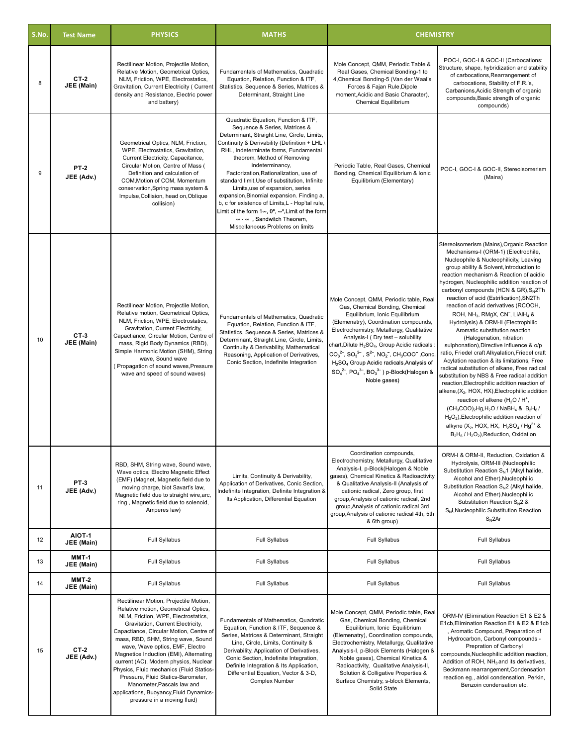| S.No. | <b>Test Name</b>            | <b>PHYSICS</b>                                                                                                                                                                                                                                                                                                                                                                                                                                                                                                                                              | <b>MATHS</b>                                                                                                                                                                                                                                                                                                                                                                                                                                                                                                                                                                                                                                  | <b>CHEMISTRY</b>                                                                                                                                                                                                                                                                                                                                                                                                                                                                                                                                                                                            |                                                                                                                                                                                                                                                                                                                                                                                                                                                                                                                                                                                                                                                                                                                                                                                                                                                                                                                                                                                                                                                                                                                                                                                                                                                   |
|-------|-----------------------------|-------------------------------------------------------------------------------------------------------------------------------------------------------------------------------------------------------------------------------------------------------------------------------------------------------------------------------------------------------------------------------------------------------------------------------------------------------------------------------------------------------------------------------------------------------------|-----------------------------------------------------------------------------------------------------------------------------------------------------------------------------------------------------------------------------------------------------------------------------------------------------------------------------------------------------------------------------------------------------------------------------------------------------------------------------------------------------------------------------------------------------------------------------------------------------------------------------------------------|-------------------------------------------------------------------------------------------------------------------------------------------------------------------------------------------------------------------------------------------------------------------------------------------------------------------------------------------------------------------------------------------------------------------------------------------------------------------------------------------------------------------------------------------------------------------------------------------------------------|---------------------------------------------------------------------------------------------------------------------------------------------------------------------------------------------------------------------------------------------------------------------------------------------------------------------------------------------------------------------------------------------------------------------------------------------------------------------------------------------------------------------------------------------------------------------------------------------------------------------------------------------------------------------------------------------------------------------------------------------------------------------------------------------------------------------------------------------------------------------------------------------------------------------------------------------------------------------------------------------------------------------------------------------------------------------------------------------------------------------------------------------------------------------------------------------------------------------------------------------------|
| 8     | <b>CT-2</b><br>JEE (Main)   | Rectilinear Motion, Projectile Motion,<br>Relative Motion, Geometrical Optics,<br>NLM, Friction, WPE, Electrostatics,<br>Gravitation, Current Electricity ( Current<br>density and Resistance, Electric power<br>and battery)                                                                                                                                                                                                                                                                                                                               | Fundamentals of Mathematics, Quadratic<br>Equation, Relation, Function & ITF,<br>Statistics, Sequence & Series, Matrices &<br>Determinant, Straight Line                                                                                                                                                                                                                                                                                                                                                                                                                                                                                      | Mole Concept, QMM, Periodic Table &<br>Real Gases, Chemical Bonding-1 to<br>4, Chemical Bonding-5 (Van der Waal's<br>Forces & Fajan Rule, Dipole<br>moment, Acidic and Basic Character),<br>Chemical Equilibrium                                                                                                                                                                                                                                                                                                                                                                                            | POC-I, GOC-I & GOC-II (Carbocations:<br>Structure, shape, hybridization and stability<br>of carbocations, Rearrangement of<br>carbocations, Stability of F.R.'s,<br>Carbanions, Acidic Strength of organic<br>compounds, Basic strength of organic<br>compounds)                                                                                                                                                                                                                                                                                                                                                                                                                                                                                                                                                                                                                                                                                                                                                                                                                                                                                                                                                                                  |
| 9     | <b>PT-2</b><br>JEE (Adv.)   | Geometrical Optics, NLM, Friction,<br>WPE, Electrostatics, Gravitation,<br>Current Electricity, Capacitance,<br>Circular Motion, Centre of Mass (<br>Definition and calculation of<br>COM, Motion of COM, Momentum<br>conservation, Spring mass system &<br>Impulse, Collision, head on, Oblique<br>collision)                                                                                                                                                                                                                                              | Quadratic Equation, Function & ITF,<br>Sequence & Series, Matrices &<br>Determinant, Straight Line, Circle, Limits,<br>Continuity & Derivability (Definition + LHL \<br>RHL, Indeterminate forms, Fundamental<br>theorem, Method of Removing<br>indeterminancy,<br>Factorization, Rationalization, use of<br>standard limit, Use of substitution, Infinite<br>Limits, use of expansion, series<br>expansion, Binomial expansion. Finding a,<br>b, c for existence of Limits, L - Hop'tal rule,<br>Limit of the form $1\infty$ , 0°, $\infty$ °, Limit of the form<br>$\infty$ $\infty$ Sandwitch Theorem,<br>Miscellaneous Problems on limits | Periodic Table, Real Gases, Chemical<br>Bonding, Chemical Equilibrium & Ionic<br>Equilibrium (Elementary)                                                                                                                                                                                                                                                                                                                                                                                                                                                                                                   | POC-I, GOC-I & GOC-II, Stereoisomerism<br>(Mains)                                                                                                                                                                                                                                                                                                                                                                                                                                                                                                                                                                                                                                                                                                                                                                                                                                                                                                                                                                                                                                                                                                                                                                                                 |
| 10    | $CT-3$<br>JEE (Main)        | Rectilinear Motion, Projectile Motion,<br>Relative motion, Geometrical Optics,<br>NLM, Friction, WPE, Electrostatics,<br>Gravitation, Current Electricity,<br>Capactiance, Circular Motion, Centre of<br>mass, Rigid Body Dynamics (RBD),<br>Simple Harmonic Motion (SHM), String<br>wave, Sound wave<br>(Propagation of sound waves, Pressure<br>wave and speed of sound waves)                                                                                                                                                                            | Fundamentals of Mathematics, Quadratic<br>Equation, Relation, Function & ITF,<br>Statistics, Sequence & Series, Matrices &<br>Determinant, Straight Line, Circle, Limits,<br>Continuity & Derivability, Mathematical<br>Reasoning, Application of Derivatives,<br>Conic Section, Indefinite Integration                                                                                                                                                                                                                                                                                                                                       | Mole Concept, QMM, Periodic table, Real<br>Gas, Chemical Bonding, Chemical<br>Equilibrium, Ionic Equilibrium<br>(Elemenatry), Coordination compounds,<br>Electrochemistry, Metallurgy, Qualitative<br>Analysis-I (Dry test - solubility<br>chart, Dilute H <sub>2</sub> SO <sub>4</sub> , Group Acidic radicals<br>$CO_3^{2-}$ , $SO_3^{2-}$ , $S^{2-}$ , NO <sub>2</sub> , CH <sub>3</sub> COO <sup>-</sup> , Conc<br>H <sub>2</sub> SO <sub>4</sub> Group Acidic radicals, Analysis of<br>$SO_4^{2-}$ , PO <sub>4</sub> <sup>3-</sup> , BO <sub>3</sub> <sup>3-</sup> ) p-Block(Halogen &<br>Noble gases) | Stereoisomerism (Mains), Organic Reaction<br>Mechanisms-I (ORM-1) (Electrophile,<br>Nucleophile & Nucleophilicity, Leaving<br>group ability & Solvent, Introduction to<br>reaction mechanism & Reaction of acidic<br>hydrogen, Nucleophilic addition reaction of<br>carbonyl compounds (HCN & GR), S <sub>N</sub> 2Th<br>reaction of acid (Estrification), SN2Th<br>reaction of acid derivatives (RCOOH,<br>ROH, NH <sub>3</sub> , RMgX, CN <sup>-</sup> , LiAlH <sub>4</sub> &<br>Hydrolysis) & ORM-II (Electrophilic<br>Aromatic substitution reaction<br>(Halogenation, nitration<br>sulphonation), Directive influence & o/p<br>ratio, Friedel craft Alkyalation, Friedel craft<br>Acylation reaction & its limitations, Free<br>radical substitution of alkane, Free radical<br>substitution by NBS & Free radical addition<br>reaction, Electrophilic addition reaction of<br>alkene, (X <sub>2</sub> , HOX, HX), Electrophilic addition<br>reaction of alkene ( $H_2O/H^+$ ,<br>$(CH_3COO)_2Hg, H_2O$ / NaBH <sub>4</sub> & B <sub>2</sub> H <sub>6</sub> /<br>H <sub>2</sub> O <sub>2</sub> ), Electrophilic addition reaction of<br>alkyne (X <sub>2</sub> , HOX, HX, $H_2SO_4/Hq^{2+}$ &<br>$B_2H_6$ / $H_2O_2$ ), Reduction, Oxidation |
| 11    | <b>PT-3</b><br>JEE (Adv.)   | RBD, SHM, String wave, Sound wave,<br>Wave optics, Electro Magnetic Effect<br>(EMF) (Magnet, Magnetic field due to<br>moving charge, biot Savart's law,<br>Magnetic field due to straight wire, arc,<br>ring, Magnetic field due to solenoid,<br>Amperes law)                                                                                                                                                                                                                                                                                               | Limits, Continuity & Derivability,<br>Application of Derivatives, Conic Section,<br>Indefinite Integration, Definite Integration &<br>Its Application, Differential Equation                                                                                                                                                                                                                                                                                                                                                                                                                                                                  | Coordination compounds,<br>Electrochemistry, Metallurgy, Qualitative<br>Analysis-I, p-Block(Halogen & Noble<br>gases), Chemical Kinetics & Radioactivity<br>& Qualitative Analysis-II (Analysis of<br>cationic radical, Zero group, first<br>group, Analysis of cationic radical, 2nd<br>group, Analysis of cationic radical 3rd<br>group, Analysis of cationic radical 4th, 5th<br>& 6th group)                                                                                                                                                                                                            | ORM-I & ORM-II, Reduction, Oxidation &<br>Hydrolysis, ORM-III (Nucleophilic<br>Substitution Reaction $S_N$ 1 (Alkyl halide,<br>Alcohol and Ether), Nucleophilic<br>Substitution Reaction S <sub>N</sub> 2 (Alkyl halide,<br>Alcohol and Ether), Nucleophilic<br>Substitution Reaction S <sub>N</sub> 2 &<br>S <sub>N</sub> i, Nucleophilic Substitution Reaction<br>$S_{N}$ 2Ar                                                                                                                                                                                                                                                                                                                                                                                                                                                                                                                                                                                                                                                                                                                                                                                                                                                                   |
| 12    | <b>AIOT-1</b><br>JEE (Main) | Full Syllabus                                                                                                                                                                                                                                                                                                                                                                                                                                                                                                                                               | Full Syllabus                                                                                                                                                                                                                                                                                                                                                                                                                                                                                                                                                                                                                                 | Full Syllabus                                                                                                                                                                                                                                                                                                                                                                                                                                                                                                                                                                                               | Full Syllabus                                                                                                                                                                                                                                                                                                                                                                                                                                                                                                                                                                                                                                                                                                                                                                                                                                                                                                                                                                                                                                                                                                                                                                                                                                     |
| 13    | MMT-1<br>JEE (Main)         | Full Syllabus                                                                                                                                                                                                                                                                                                                                                                                                                                                                                                                                               | Full Syllabus                                                                                                                                                                                                                                                                                                                                                                                                                                                                                                                                                                                                                                 | Full Syllabus                                                                                                                                                                                                                                                                                                                                                                                                                                                                                                                                                                                               | <b>Full Syllabus</b>                                                                                                                                                                                                                                                                                                                                                                                                                                                                                                                                                                                                                                                                                                                                                                                                                                                                                                                                                                                                                                                                                                                                                                                                                              |
| 14    | <b>MMT-2</b><br>JEE (Main)  | Full Syllabus                                                                                                                                                                                                                                                                                                                                                                                                                                                                                                                                               | Full Syllabus                                                                                                                                                                                                                                                                                                                                                                                                                                                                                                                                                                                                                                 | Full Syllabus                                                                                                                                                                                                                                                                                                                                                                                                                                                                                                                                                                                               | Full Syllabus                                                                                                                                                                                                                                                                                                                                                                                                                                                                                                                                                                                                                                                                                                                                                                                                                                                                                                                                                                                                                                                                                                                                                                                                                                     |
| 15    | $CT-2$<br>JEE (Adv.)        | Rectilinear Motion, Projectile Motion,<br>Relative motion, Geometrical Optics,<br>NLM, Friction, WPE, Electrostatics,<br>Gravitation, Current Electricity,<br>Capactiance, Circular Motion, Centre of<br>mass, RBD, SHM, String wave, Sound<br>wave, Wave optics, EMF, Electro<br>Magnetice Induction (EMI), Alternating<br>current (AC), Modern physics, Nuclear<br>Physics, Fluid mechanics (Fluid Statics-<br>Pressure, Fluid Statics-Barometer,<br>Manometer, Pascals law and<br>applications, Buoyancy, Fluid Dynamics-<br>pressure in a moving fluid) | Fundamentals of Mathematics, Quadratic<br>Equation, Function & ITF, Sequence &<br>Series, Matrices & Determinant, Straight<br>Line, Circle, Limits, Continuity &<br>Derivability, Application of Derivatives,<br>Conic Section, Indefinite Integration,<br>Definite Integration & Its Application,<br>Differential Equation, Vector & 3-D,<br><b>Complex Number</b>                                                                                                                                                                                                                                                                           | Mole Concept, QMM, Periodic table, Real<br>Gas, Chemical Bonding, Chemical<br>Equilibrium, Ionic Equilibrium<br>(Elemenatry), Coordination compounds,<br>Electrochemistry, Metallurgy, Qualitative<br>Analysis-I, p-Block Elements (Halogen &<br>Noble gases), Chemical Kinetics &<br>Radioactivity, Qualitative Analysis-II,<br>Solution & Colligative Properties &<br>Surface Chemistry, s-block Elements,<br>Solid State                                                                                                                                                                                 | ORM-IV (Elimination Reaction E1 & E2 &<br>E1cb, Elimination Reaction E1 & E2 & E1cb<br>Aromatic Compound, Preparation of<br>Hydrocarbon, Carbonyl compounds -<br>Prepration of Carbonyl<br>compounds, Nucleophilic addition reaction,<br>Addition of ROH, NH <sub>3</sub> and its derivatives,<br>Beckmann rearrangement, Condensation<br>reaction eg., aldol condensation, Perkin,<br>Benzoin condensation etc.                                                                                                                                                                                                                                                                                                                                                                                                                                                                                                                                                                                                                                                                                                                                                                                                                                  |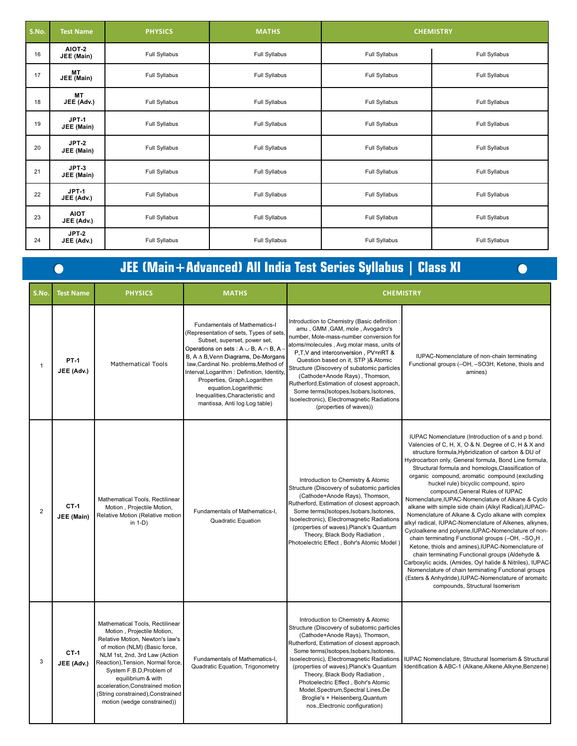| S.No. | <b>Test Name</b>           | <b>PHYSICS</b> | <b>MATHS</b>  | <b>CHEMISTRY</b> |               |
|-------|----------------------------|----------------|---------------|------------------|---------------|
| 16    | AIOT-2<br>JEE (Main)       | Full Syllabus  | Full Syllabus | Full Syllabus    | Full Syllabus |
| 17    | <b>MT</b><br>JEE (Main)    | Full Syllabus  | Full Syllabus | Full Syllabus    | Full Syllabus |
| 18    | <b>MT</b><br>JEE (Adv.)    | Full Syllabus  | Full Syllabus | Full Syllabus    | Full Syllabus |
| 19    | $JPT-1$<br>JEE (Main)      | Full Syllabus  | Full Syllabus | Full Syllabus    | Full Syllabus |
| 20    | $JPT-2$<br>JEE (Main)      | Full Syllabus  | Full Syllabus | Full Syllabus    | Full Syllabus |
| 21    | $JPT-3$<br>JEE (Main)      | Full Syllabus  | Full Syllabus | Full Syllabus    | Full Syllabus |
| 22    | JPT-1<br>JEE (Adv.)        | Full Syllabus  | Full Syllabus | Full Syllabus    | Full Syllabus |
| 23    | <b>AIOT</b><br>JEE (Adv.)  | Full Syllabus  | Full Syllabus | Full Syllabus    | Full Syllabus |
| 24    | <b>JPT-2</b><br>JEE (Adv.) | Full Syllabus  | Full Syllabus | Full Syllabus    | Full Syllabus |

# 

# **JEE (Main+Advanced) All India Test Series Syllabus | Class XI**

| S.No.          | <b>Test Name</b>            | <b>PHYSICS</b>                                                                                                                                                                                                                                                                                                                                                    | <b>MATHS</b>                                                                                                                                                                                                                                                                                                                                                                                                                     | <b>CHEMISTRY</b>                                                                                                                                                                                                                                                                                                                                                                                                                                                                                       |                                                                                                                                                                                                                                                                                                                                                                                                                                                                                                                                                                                                                                                                                                                                                                                                                                                                                                                                                                                                                                                                                            |
|----------------|-----------------------------|-------------------------------------------------------------------------------------------------------------------------------------------------------------------------------------------------------------------------------------------------------------------------------------------------------------------------------------------------------------------|----------------------------------------------------------------------------------------------------------------------------------------------------------------------------------------------------------------------------------------------------------------------------------------------------------------------------------------------------------------------------------------------------------------------------------|--------------------------------------------------------------------------------------------------------------------------------------------------------------------------------------------------------------------------------------------------------------------------------------------------------------------------------------------------------------------------------------------------------------------------------------------------------------------------------------------------------|--------------------------------------------------------------------------------------------------------------------------------------------------------------------------------------------------------------------------------------------------------------------------------------------------------------------------------------------------------------------------------------------------------------------------------------------------------------------------------------------------------------------------------------------------------------------------------------------------------------------------------------------------------------------------------------------------------------------------------------------------------------------------------------------------------------------------------------------------------------------------------------------------------------------------------------------------------------------------------------------------------------------------------------------------------------------------------------------|
| 1              | <b>PT-1</b><br>JEE (Adv.)   | <b>Mathematical Tools</b>                                                                                                                                                                                                                                                                                                                                         | Fundamentals of Mathematics-I<br>(Representation of sets, Types of sets,<br>Subset, superset, power set,<br>Operations on sets : $A \cup B$ , $A \cap B$ , A<br>B, $A \Delta B$ , Venn Diagrams, De-Morgans<br>law, Cardinal No. problems, Method of<br>Interval, Logarithm: Definition, Identity,<br>Properties, Graph, Logarithm<br>equation, Logarithmic<br>Inequalities, Characteristic and<br>mantissa, Anti log Log table) | Introduction to Chemistry (Basic definition:<br>amu, GMM, GAM, mole, Avogadro's<br>number, Mole-mass-number conversion for<br>atoms/molecules, Avg.molar mass, units of<br>P,T,V and interconversion, PV=nRT &<br>Question based on it, STP )& Atomic<br>Structure (Discovery of subatomic particles<br>(Cathode+Anode Rays), Thomson,<br>Rutherford, Estimation of closest approach,<br>Some terms(Isotopes,Isobars,Isotones,<br>Isoelectronic), Electromagnetic Radiations<br>(properties of waves)) | IUPAC-Nomenclature of non-chain terminating<br>Functional groups (-OH, -SO3H, Ketone, thiols and<br>amines)                                                                                                                                                                                                                                                                                                                                                                                                                                                                                                                                                                                                                                                                                                                                                                                                                                                                                                                                                                                |
| $\overline{2}$ | $CT-1$<br><b>JEE</b> (Main) | Mathematical Tools, Rectilinear<br>Motion, Projectile Motion,<br>Relative Motion (Relative motion<br>in $1-D$ )                                                                                                                                                                                                                                                   | Fundamentals of Mathematics-I,<br>Quadratic Equation                                                                                                                                                                                                                                                                                                                                                                             | Introduction to Chemistry & Atomic<br>Structure (Discovery of subatomic particles<br>(Cathode+Anode Rays), Thomson,<br>Rutherford, Estimation of closest approach<br>Some terms(Isotopes,Isobars,Isotones,<br>Isoelectronic), Electromagnetic Radiations<br>(properties of waves), Planck's Quantum<br>Theory, Black Body Radiation,<br>Photoelectric Effect, Bohr's Atomic Model)                                                                                                                     | IUPAC Nomenclature (Introduction of s and p bond.<br>Valencies of C, H, X, O & N. Degree of C, H & X and<br>structure formula, Hybridization of carbon & DU of<br>Hydrocarbon only, General formula, Bond Line formula,<br>Structural formula and homologs, Classification of<br>organic compound, aromatic compound (excluding<br>huckel rule) bicyclic compound, spiro<br>compound, General Rules of IUPAC<br>Nomenclature, IUPAC-Nomenclature of Alkane & Cyclo<br>alkane with simple side chain (Alkyl Radical), IUPAC-<br>Nomenclature of Alkane & Cyclo alkane with complex<br>alkyl radical, IUPAC-Nomenclature of Alkenes, alkynes,<br>Cycloalkene and polyene, IUPAC-Nomenclature of non-<br>chain terminating Functional groups (-OH, -SO <sub>3</sub> H,<br>Ketone, thiols and amines), IUPAC-Nomenclature of<br>chain terminating Functional groups (Aldehyde &<br>Carboxylic acids, (Amides, Oyl halide & Nitriles), IUPAC-<br>Nomenclature of chain terminating Functional groups<br>(Esters & Anhydride), IUPAC-Nomenclature of aromaitc<br>compounds, Structural Isomerism |
| 3              | $CT-1$<br>JEE (Adv.)        | Mathematical Tools, Rectilinear<br>Motion, Projectile Motion,<br>Relative Motion, Newton's law's<br>of motion (NLM) (Basic force,<br>NLM 1st, 2nd, 3rd Law (Action<br>Reaction), Tension, Normal force,<br>System F.B.D, Problem of<br>equilibrium & with<br>acceleration, Constrained motion<br>(String constrained), Constrained<br>motion (wedge constrained)) | Fundamentals of Mathematics-I,<br>Quadratic Equation, Trigonometry                                                                                                                                                                                                                                                                                                                                                               | Introduction to Chemistry & Atomic<br>Structure (Discovery of subatomic particles<br>(Cathode+Anode Rays), Thomson,<br>Rutherford, Estimation of closest approach,<br>Some terms(Isotopes,Isobars,Isotones,<br>Isoelectronic), Electromagnetic Radiations<br>(properties of waves), Planck's Quantum<br>Theory, Black Body Radiation,<br>Photoelectric Effect, Bohr's Atomic<br>Model, Spectrum, Spectral Lines, De<br>Broglie's + Heisenberg, Quantum<br>nos., Electronic configuration)              | IUPAC Nomenclature, Structural Isomerism & Structural<br>Identification & ABC-1 (Alkane, Alkene, Alkyne, Benzene)                                                                                                                                                                                                                                                                                                                                                                                                                                                                                                                                                                                                                                                                                                                                                                                                                                                                                                                                                                          |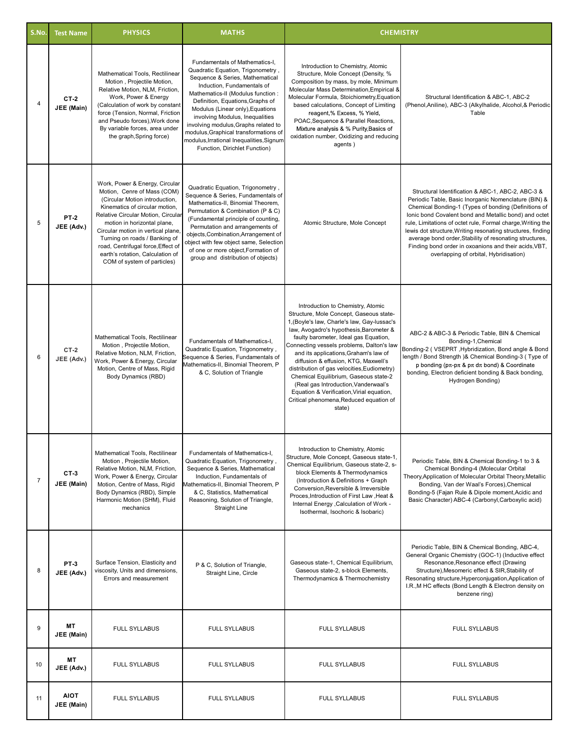| S.No.          | <b>Test Name</b>          | <b>PHYSICS</b>                                                                                                                                                                                                                                                                                                                                                                         | <b>MATHS</b>                                                                                                                                                                                                                                                                                                                                                                                                                                       | <b>CHEMISTRY</b>                                                                                                                                                                                                                                                                                                                                                                                                                                                                                                                                                                |                                                                                                                                                                                                                                                                                                                                                                                                                                                                                                                        |  |
|----------------|---------------------------|----------------------------------------------------------------------------------------------------------------------------------------------------------------------------------------------------------------------------------------------------------------------------------------------------------------------------------------------------------------------------------------|----------------------------------------------------------------------------------------------------------------------------------------------------------------------------------------------------------------------------------------------------------------------------------------------------------------------------------------------------------------------------------------------------------------------------------------------------|---------------------------------------------------------------------------------------------------------------------------------------------------------------------------------------------------------------------------------------------------------------------------------------------------------------------------------------------------------------------------------------------------------------------------------------------------------------------------------------------------------------------------------------------------------------------------------|------------------------------------------------------------------------------------------------------------------------------------------------------------------------------------------------------------------------------------------------------------------------------------------------------------------------------------------------------------------------------------------------------------------------------------------------------------------------------------------------------------------------|--|
| $\overline{4}$ | <b>CT-2</b><br>JEE (Main) | Mathematical Tools, Rectilinear<br>Motion, Projectile Motion,<br>Relative Motion, NLM, Friction,<br>Work, Power & Energy<br>(Calculation of work by constant<br>force (Tension, Normal, Friction<br>and Pseudo forces), Work done<br>By variable forces, area under<br>the graph, Spring force)                                                                                        | Fundamentals of Mathematics-I,<br>Quadratic Equation, Trigonometry,<br>Sequence & Series, Mathematical<br>Induction, Fundamentals of<br>Mathematics-II (Modulus function:<br>Definition, Equations, Graphs of<br>Modulus (Linear only), Equations<br>involving Modulus, Inequalities<br>involving modulus, Graphs related to<br>modulus, Graphical transformations of<br>modulus, Irrational Inequalities, Signum<br>Function, Dirichlet Function) | Introduction to Chemistry, Atomic<br>Structure, Mole Concept (Density, %<br>Composition by mass, by mole, Minimum<br>Molecular Mass Determination, Empirical &<br>Molecular Formula, Stoichiometry, Equation<br>based calculations, Concept of Limiting<br>reagent,% Excess, % Yield,<br>POAC, Sequence & Parallel Reactions,<br>Mixture analysis & % Purity, Basics of<br>oxidation number, Oxidizing and reducing<br>agents)                                                                                                                                                  | Structural Identification & ABC-1, ABC-2<br>(Phenol, Aniline), ABC-3 (Alkylhalide, Alcohol, & Periodic<br>Table                                                                                                                                                                                                                                                                                                                                                                                                        |  |
| 5              | <b>PT-2</b><br>JEE (Adv.) | Work, Power & Energy, Circular<br>Motion, Cenre of Mass (COM)<br>(Circular Motion introduction,<br>Kinematics of circular motion,<br>Relative Circular Motion, Circular<br>motion in horizontal plane,<br>Circular motion in vertical plane,<br>Turning on roads / Banking of<br>road, Centrifugal force, Effect of<br>earth's rotation, Calculation of<br>COM of system of particles) | Quadratic Equation, Trigonometry,<br>Sequence & Series, Fundamentals of<br>Mathematics-II, Binomial Theorem,<br>Permutation & Combination (P & C)<br>(Fundamental principle of counting,<br>Permutation and arrangements of<br>objects, Combination, Arrangement of<br>object with few object same, Selection<br>of one or more object, Formation of<br>group and distribution of objects)                                                         | Atomic Structure, Mole Concept                                                                                                                                                                                                                                                                                                                                                                                                                                                                                                                                                  | Structural Identification & ABC-1, ABC-2, ABC-3 &<br>Periodic Table, Basic Inorganic Nomenclature (BIN) &<br>Chemical Bonding-1 (Types of bonding (Definitions of<br>Ionic bond Covalent bond and Metallic bond) and octet<br>rule, Limitations of octet rule, Formal charge, Writing the<br>lewis dot structure, Writing resonating structures, finding<br>average bond order, Stability of resonating structures,<br>Finding bond order in oxoanions and their acids, VBT,<br>overlapping of orbital, Hybridisation) |  |
| 6              | $CT-2$<br>JEE (Adv.)      | Mathematical Tools, Rectilinear<br>Motion, Projectile Motion,<br>Relative Motion, NLM, Friction,<br>Work, Power & Energy, Circular<br>Motion, Centre of Mass, Rigid<br>Body Dynamics (RBD)                                                                                                                                                                                             | Fundamentals of Mathematics-I,<br>Quadratic Equation, Trigonometry,<br>Sequence & Series, Fundamentals of<br>Mathematics-II, Binomial Theorem, P<br>& C, Solution of Triangle                                                                                                                                                                                                                                                                      | Introduction to Chemistry, Atomic<br>Structure, Mole Concept, Gaseous state-<br>1, (Boyle's law, Charle's law, Gay-lussac's<br>law, Avogadro's hypothesis, Barometer &<br>faulty barometer, Ideal gas Equation,<br>Connecting vessels problems, Dalton's law<br>and its applications, Graham's law of<br>diffusion & effusion, KTG, Maxwell's<br>distribution of gas velocities, Eudiometry)<br>Chemical Equilibrium, Gaseous state-2<br>(Real gas Introduction, Vanderwaal's<br>Equation & Verification, Virial equation,<br>Critical phenomena, Reduced equation of<br>state) | ABC-2 & ABC-3 & Periodic Table, BIN & Chemical<br>Bonding-1, Chemical<br>Bonding-2 (VSEPRT, Hybridization, Bond angle & Bond<br>length / Bond Strength )& Chemical Bonding-3 (Type of<br>p bonding ( $p\pi$ - $p\pi$ & $p\pi$ d $\pi$ bond) & Coordinate<br>bonding, Electron deficient bonding & Back bonding,<br>Hydrogen Bonding)                                                                                                                                                                                   |  |
| $\overline{7}$ | $CT-3$<br>JEE (Main)      | Mathematical Tools, Rectilinear<br>Motion, Projectile Motion,<br>Relative Motion, NLM, Friction,<br>Work, Power & Energy, Circular<br>Motion, Centre of Mass, Rigid<br>Body Dynamics (RBD), Simple<br>Harmonic Motion (SHM), Fluid<br>mechanics                                                                                                                                        | Fundamentals of Mathematics-I,<br>Quadratic Equation, Trigonometry,<br>Sequence & Series, Mathematical<br>Induction, Fundamentals of<br>Mathematics-II, Binomial Theorem, P<br>& C, Statistics, Mathematical<br>Reasoning, Solution of Triangle,<br>Straight Line                                                                                                                                                                                  | Introduction to Chemistry, Atomic<br>Structure, Mole Concept, Gaseous state-1,<br>Chemical Equilibrium, Gaseous state-2, s-<br>block Elements & Thermodynamics<br>(Introduction & Definitions + Graph<br>Conversion, Reversible & Irreversible<br>Proces, Introduction of First Law, Heat &<br>Internal Energy , Calculation of Work -<br>Isothermal, Isochoric & Isobaric)                                                                                                                                                                                                     | Periodic Table, BIN & Chemical Bonding-1 to 3 &<br>Chemical Bonding-4 (Molecular Orbital<br>Theory, Application of Molecular Orbital Theory, Metallic<br>Bonding, Van der Waal's Forces), Chemical<br>Bonding-5 (Fajan Rule & Dipole moment, Acidic and<br>Basic Character) ABC-4 (Carbonyl, Carboxylic acid)                                                                                                                                                                                                          |  |
| 8              | <b>PT-3</b><br>JEE (Adv.) | Surface Tension, Elasticity and<br>viscosity, Units and dimensions,<br>Errors and measurement                                                                                                                                                                                                                                                                                          | P & C, Solution of Triangle,<br>Straight Line, Circle                                                                                                                                                                                                                                                                                                                                                                                              | Gaseous state-1, Chemical Equilibrium,<br>Gaseous state-2, s-block Elements,<br>Thermodynamics & Thermochemistry                                                                                                                                                                                                                                                                                                                                                                                                                                                                | Periodic Table, BIN & Chemical Bonding, ABC-4,<br>General Organic Chemistry (GOC-1) (Inductive effect<br>Resonance, Resonance effect (Drawing<br>Structure), Mesomeric effect & SIR, Stability of<br>Resonating structure, Hyperconjugation, Application of<br>I.R., M HC effects (Bond Length & Electron density on<br>benzene ring)                                                                                                                                                                                  |  |
| 9              | MT<br>JEE (Main)          | <b>FULL SYLLABUS</b>                                                                                                                                                                                                                                                                                                                                                                   | <b>FULL SYLLABUS</b>                                                                                                                                                                                                                                                                                                                                                                                                                               | <b>FULL SYLLABUS</b>                                                                                                                                                                                                                                                                                                                                                                                                                                                                                                                                                            | <b>FULL SYLLABUS</b>                                                                                                                                                                                                                                                                                                                                                                                                                                                                                                   |  |
| 10             | МT<br>JEE (Adv.)          | <b>FULL SYLLABUS</b>                                                                                                                                                                                                                                                                                                                                                                   | <b>FULL SYLLABUS</b>                                                                                                                                                                                                                                                                                                                                                                                                                               | <b>FULL SYLLABUS</b>                                                                                                                                                                                                                                                                                                                                                                                                                                                                                                                                                            | <b>FULL SYLLABUS</b>                                                                                                                                                                                                                                                                                                                                                                                                                                                                                                   |  |
| 11             | <b>AIOT</b><br>JEE (Main) | <b>FULL SYLLABUS</b>                                                                                                                                                                                                                                                                                                                                                                   | <b>FULL SYLLABUS</b>                                                                                                                                                                                                                                                                                                                                                                                                                               | <b>FULL SYLLABUS</b>                                                                                                                                                                                                                                                                                                                                                                                                                                                                                                                                                            | <b>FULL SYLLABUS</b>                                                                                                                                                                                                                                                                                                                                                                                                                                                                                                   |  |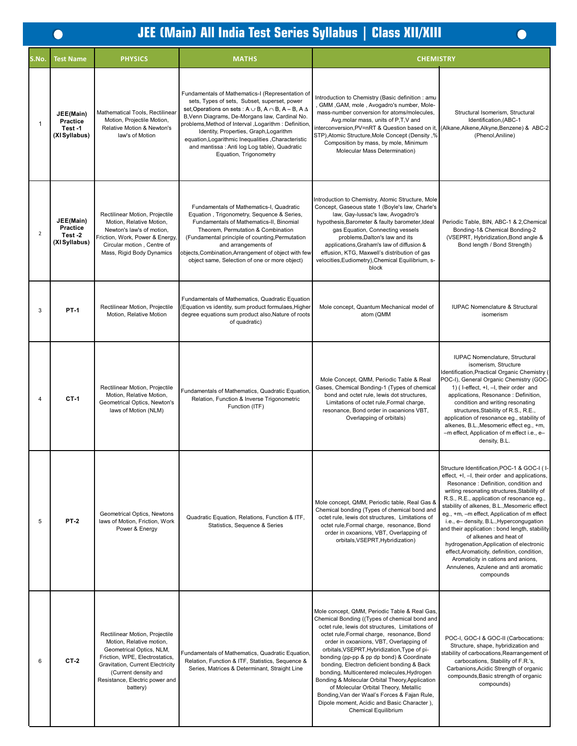$\bullet$ 

# **JEE (Main) All India Test Series Syllabus | Class XII/XIII**

| S.No.          | <b>Test Name</b>                                 | <b>PHYSICS</b>                                                                                                                                                                                                                     | <b>MATHS</b>                                                                                                                                                                                                                                                                                                                                                                                                                                                          | <b>CHEMISTRY</b>                                                                                                                                                                                                                                                                                                                                                                                                                                                                                                                                                                                                                                               |                                                                                                                                                                                                                                                                                                                                                                                                                                                                                                                                                                                                                                              |
|----------------|--------------------------------------------------|------------------------------------------------------------------------------------------------------------------------------------------------------------------------------------------------------------------------------------|-----------------------------------------------------------------------------------------------------------------------------------------------------------------------------------------------------------------------------------------------------------------------------------------------------------------------------------------------------------------------------------------------------------------------------------------------------------------------|----------------------------------------------------------------------------------------------------------------------------------------------------------------------------------------------------------------------------------------------------------------------------------------------------------------------------------------------------------------------------------------------------------------------------------------------------------------------------------------------------------------------------------------------------------------------------------------------------------------------------------------------------------------|----------------------------------------------------------------------------------------------------------------------------------------------------------------------------------------------------------------------------------------------------------------------------------------------------------------------------------------------------------------------------------------------------------------------------------------------------------------------------------------------------------------------------------------------------------------------------------------------------------------------------------------------|
| $\mathbf{1}$   | JEE(Main)<br>Practice<br>Test-1<br>(XI Syllabus) | Mathematical Tools, Rectilinear<br>Motion, Projectile Motion,<br>Relative Motion & Newton's<br>law's of Motion                                                                                                                     | Fundamentals of Mathematics-I (Representation of<br>sets, Types of sets, Subset, superset, power<br>set, Operations on sets : $A \cup B$ , $A \cap B$ , $A - B$ , $A \triangle$<br>B, Venn Diagrams, De-Morgans law, Cardinal No.<br>problems, Method of Interval , Logarithm : Definition<br>Identity, Properties, Graph, Logarithm<br>equation, Logarithmic Inequalities, Characteristic<br>and mantissa : Anti log Log table), Quadratic<br>Equation, Trigonometry | Introduction to Chemistry (Basic definition: amu<br>, GMM, GAM, mole, Avogadro's number, Mole-<br>mass-number conversion for atoms/molecules,<br>Avg.molar mass, units of P,T,V and<br>interconversion, PV=nRT & Question based on it<br>STP), Atomic Structure, Mole Concept (Density, %<br>Composition by mass, by mole, Minimum<br>Molecular Mass Determination)                                                                                                                                                                                                                                                                                            | Structural Isomerism, Structural<br>Identification, (ABC-1<br>(Alkane, Alkene, Alkyne, Benzene) & ABC-2<br>(Phenol, Aniline)                                                                                                                                                                                                                                                                                                                                                                                                                                                                                                                 |
| $\overline{2}$ | JEE(Main)<br>Practice<br>Test-2<br>(XI Syllabus) | Rectilinear Motion, Projectile<br>Motion, Relative Motion,<br>Newton's law's of motion,<br>Friction, Work, Power & Energy,<br>Circular motion, Centre of<br>Mass, Rigid Body Dynamics                                              | Fundamentals of Mathematics-I, Quadratic<br>Equation, Trigonometry, Sequence & Series,<br>Fundamentals of Mathematics-II, Binomial<br>Theorem, Permutation & Combination<br>(Fundamental principle of counting, Permutation<br>and arrangements of<br>objects, Combination, Arrangement of object with few<br>object same, Selection of one or more object)                                                                                                           | Introduction to Chemistry, Atomic Structure, Mole<br>Concept, Gaseous state 1 (Boyle's law, Charle's<br>law, Gay-lussac's law, Avogadro's<br>hypothesis, Barometer & faulty barometer, Ideal<br>gas Equation, Connecting vessels<br>problems, Dalton's law and its<br>applications, Graham's law of diffusion &<br>effusion, KTG, Maxwell's distribution of gas<br>velocities, Eudiometry), Chemical Equilibrium, s-<br>block                                                                                                                                                                                                                                  | Periodic Table, BIN, ABC-1 & 2, Chemical<br>Bonding-1& Chemical Bonding-2<br>(VSEPRT, Hybridization, Bond angle &<br>Bond length / Bond Strength)                                                                                                                                                                                                                                                                                                                                                                                                                                                                                            |
| 3              | <b>PT-1</b>                                      | Rectilinear Motion, Projectile<br>Motion. Relative Motion                                                                                                                                                                          | Fundamentals of Mathematics, Quadratic Equation<br>(Equation vs identity, sum product formulaes, Higher<br>degree equations sum product also, Nature of roots<br>of quadratic)                                                                                                                                                                                                                                                                                        | Mole concept, Quantum Mechanical model of<br>atom (QMM                                                                                                                                                                                                                                                                                                                                                                                                                                                                                                                                                                                                         | IUPAC Nomenclature & Structural<br>isomerism                                                                                                                                                                                                                                                                                                                                                                                                                                                                                                                                                                                                 |
| 4              | $C$ T-1                                          | Rectilinear Motion, Projectile<br>Motion, Relative Motion,<br>Geometrical Optics, Newton's<br>laws of Motion (NLM)                                                                                                                 | Fundamentals of Mathematics, Quadratic Equation,<br>Relation, Function & Inverse Trigonometric<br>Function (ITF)                                                                                                                                                                                                                                                                                                                                                      | Mole Concept, QMM, Periodic Table & Real<br>Gases, Chemical Bonding-1 (Types of chemical<br>bond and octet rule, lewis dot structures,<br>Limitations of octet rule, Formal charge,<br>resonance, Bond order in oxoanions VBT,<br>Overlapping of orbitals)                                                                                                                                                                                                                                                                                                                                                                                                     | IUPAC Nomenclature, Structural<br>isomerism, Structure<br>Identification, Practical Organic Chemistry (<br>POC-I), General Organic Chemistry (GOC-<br>1) (I-effect, +I, -I, their order and<br>applications, Resonance : Definition,<br>condition and writing resonating<br>structures, Stability of R.S., R.E.,<br>application of resonance eg., stability of<br>alkenes, B.L., Mesomeric effect eq., +m,<br>-m effect, Application of m effect i.e., e-<br>density, B.L.                                                                                                                                                                   |
| 5              | <b>PT-2</b>                                      | Geometrical Optics, Newtons<br>laws of Motion, Friction, Work<br>Power & Energy                                                                                                                                                    | Quadratic Equation, Relations, Function & ITF,<br>Statistics, Sequence & Series                                                                                                                                                                                                                                                                                                                                                                                       | Mole concept, QMM, Periodic table, Real Gas &<br>Chemical bonding (Types of chemical bond and<br>octet rule, lewis dot structures, Limitations of<br>octet rule, Formal charge, resonance, Bond<br>order in oxoanions, VBT, Overlapping of<br>orbitals, VSEPRT, Hybridization)                                                                                                                                                                                                                                                                                                                                                                                 | Structure Identification, POC-1 & GOC-I (I-<br>effect, +I, -I, their order and applications,<br>Resonance: Definition, condition and<br>writing resonating structures, Stability of<br>R.S., R.E., application of resonance eg.,<br>stability of alkenes, B.L., Mesomeric effect<br>eg., +m, -m effect, Application of m effect<br>i.e., e- density, B.L., Hypercongugation<br>and their application: bond length, stability<br>of alkenes and heat of<br>hydrogenation, Application of electronic<br>effect, Aromaticity, definition, condition,<br>Aromaticity in cations and anions,<br>Annulenes, Azulene and anti aromatic<br>compounds |
| 6              | $CT-2$                                           | Rectilinear Motion, Projectile<br>Motion, Relative motion,<br>Geometrical Optics, NLM,<br>Friction, WPE, Electrostatics,<br>Gravitation, Current Electricity<br>(Current density and<br>Resistance, Electric power and<br>battery) | Fundamentals of Mathematics, Quadratic Equation,<br>Relation, Function & ITF, Statistics, Sequence &<br>Series, Matrices & Determinant, Straight Line                                                                                                                                                                                                                                                                                                                 | Mole concept, QMM, Periodic Table & Real Gas,<br>Chemical Bonding ((Types of chemical bond and<br>octet rule, lewis dot structures, Limitations of<br>octet rule, Formal charge, resonance, Bond<br>order in oxoanions, VBT, Overlapping of<br>orbitals, VSEPRT, Hybridization, Type of pi-<br>bonding (pp-pp & pp dp bond) & Coordinate<br>bonding, Electron deficient bonding & Back<br>bonding, Multicentered molecules, Hydrogen<br>Bonding & Molecular Orbital Theory, Application<br>of Molecular Orbital Theory, Metallic<br>Bonding, Van der Waal's Forces & Fajan Rule,<br>Dipole moment, Acidic and Basic Character),<br><b>Chemical Equilibrium</b> | POC-I, GOC-I & GOC-II (Carbocations:<br>Structure, shape, hybridization and<br>stability of carbocations, Rearrangement of<br>carbocations, Stability of F.R.'s,<br>Carbanions, Acidic Strength of organic<br>compounds, Basic strength of organic<br>compounds)                                                                                                                                                                                                                                                                                                                                                                             |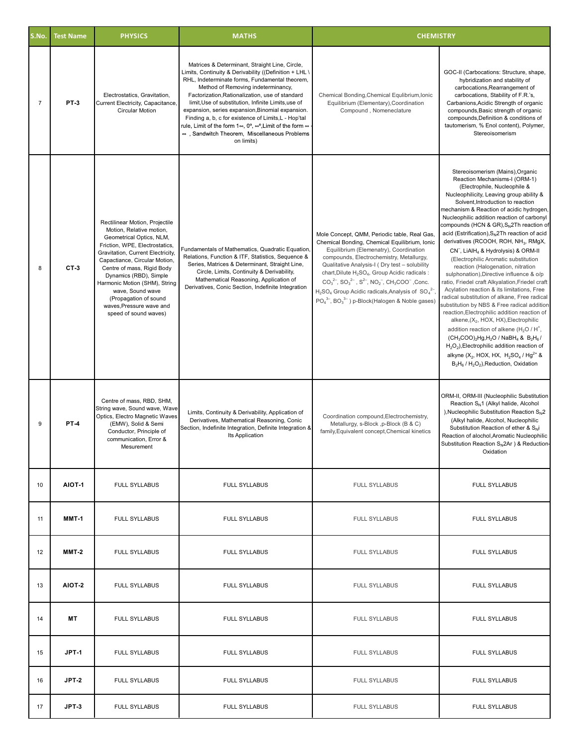| S.No.          | <b>Test Name</b> | <b>PHYSICS</b>                                                                                                                                                                                                                                                                                                                                                                            | <b>MATHS</b>                                                                                                                                                                                                                                                                                                                                                                                                                                                                                                                                                           | <b>CHEMISTRY</b>                                                                                                                                                                                                                                                                                                                                                                                                                                                                                            |                                                                                                                                                                                                                                                                                                                                                                                                                                                                                                                                                                                                                                                                                                                                                                                                                                                                                                                                                                                                                                                                                                                                                                                                                                                                |
|----------------|------------------|-------------------------------------------------------------------------------------------------------------------------------------------------------------------------------------------------------------------------------------------------------------------------------------------------------------------------------------------------------------------------------------------|------------------------------------------------------------------------------------------------------------------------------------------------------------------------------------------------------------------------------------------------------------------------------------------------------------------------------------------------------------------------------------------------------------------------------------------------------------------------------------------------------------------------------------------------------------------------|-------------------------------------------------------------------------------------------------------------------------------------------------------------------------------------------------------------------------------------------------------------------------------------------------------------------------------------------------------------------------------------------------------------------------------------------------------------------------------------------------------------|----------------------------------------------------------------------------------------------------------------------------------------------------------------------------------------------------------------------------------------------------------------------------------------------------------------------------------------------------------------------------------------------------------------------------------------------------------------------------------------------------------------------------------------------------------------------------------------------------------------------------------------------------------------------------------------------------------------------------------------------------------------------------------------------------------------------------------------------------------------------------------------------------------------------------------------------------------------------------------------------------------------------------------------------------------------------------------------------------------------------------------------------------------------------------------------------------------------------------------------------------------------|
| $\overline{7}$ | <b>PT-3</b>      | Electrostatics, Gravitation,<br>Current Electricity, Capacitance,<br><b>Circular Motion</b>                                                                                                                                                                                                                                                                                               | Matrices & Determinant, Straight Line, Circle,<br>Limits, Continuity & Derivability ((Definition + LHL \<br>RHL, Indeterminate forms, Fundamental theorem,<br>Method of Removing indeterminancy,<br>Factorization, Rationalization, use of standard<br>limit, Use of substitution, Infinite Limits, use of<br>expansion, series expansion, Binomial expansion.<br>Finding a, b, c for existence of Limits, L - Hop'tal<br>rule, Limit of the form 1 $\infty$ , 0°, $\infty$ °,Limit of the form $\infty$<br>∞, Sandwitch Theorem, Miscellaneous Problems<br>on limits) | Chemical Bonding, Chemical Equlibrium, Ionic<br>Equilibrium (Elementary), Coordination<br>Compound, Nomeneclature                                                                                                                                                                                                                                                                                                                                                                                           | GOC-II (Carbocations: Structure, shape,<br>hybridization and stability of<br>carbocations, Rearrangement of<br>carbocations, Stability of F.R.'s,<br>Carbanions, Acidic Strength of organic<br>compounds, Basic strength of organic<br>compounds, Definition & conditions of<br>tautomerism, % Enol content), Polymer,<br>Stereoisomerism                                                                                                                                                                                                                                                                                                                                                                                                                                                                                                                                                                                                                                                                                                                                                                                                                                                                                                                      |
| 8              | $CT-3$           | Rectilinear Motion, Projectile<br>Motion, Relative motion,<br>Geometrical Optics, NLM,<br>Friction, WPE, Electrostatics,<br>Gravitation, Current Electricity,<br>Capactiance, Circular Motion,<br>Centre of mass, Rigid Body<br>Dynamics (RBD), Simple<br>Harmonic Motion (SHM), String<br>wave, Sound wave<br>(Propagation of sound<br>waves, Pressure wave and<br>speed of sound waves) | Fundamentals of Mathematics, Quadratic Equation,<br>Relations, Function & ITF, Statistics, Sequence &<br>Series, Matrices & Determinant, Straight Line,<br>Circle, Limits, Continuity & Derivability,<br>Mathematical Reasoning, Application of<br>Derivatives, Conic Section, Indefinite Integration                                                                                                                                                                                                                                                                  | Mole Concept, QMM, Periodic table, Real Gas,<br>Chemical Bonding, Chemical Equilibrium, Ionic<br>Equilibrium (Elemenatry), Coordination<br>compounds, Electrochemistry, Metallurgy,<br>Qualitative Analysis-I (Dry test - solubility<br>chart, Dilute H <sub>2</sub> SO <sub>4</sub> , Group Acidic radicals :<br>$CO_3^{2-}$ , $SO_3^{2-}$ , $S^{2-}$ , $NO_2^-$ , $CH_3COO^-$ , Conc.<br>$H2SO4$ Group Acidic radicals, Analysis of $SO42–$<br>$PO_4^{3-}$ , $BO_3^{3-}$ ) p-Block(Halogen & Noble gases) | Stereoisomerism (Mains), Organic<br>Reaction Mechanisms-I (ORM-1)<br>(Electrophile, Nucleophile &<br>Nucleophilicity, Leaving group ability &<br>Solvent, Introduction to reaction<br>mechanism & Reaction of acidic hydrogen,<br>Nucleophilic addition reaction of carbonyl<br>compounds (HCN & GR), S <sub>N</sub> 2Th reaction of<br>acid (Estrification), S <sub>N</sub> 2Th reaction of acid<br>derivatives (RCOOH, ROH, NH <sub>3</sub> , RMgX,<br>CN <sup>-</sup> , LiAlH <sub>4</sub> & Hydrolysis) & ORM-II<br>(Electrophilic Aromatic substitution<br>reaction (Halogenation, nitration<br>sulphonation), Directive influence & o/p<br>ratio, Friedel craft Alkyalation, Friedel craft<br>Acylation reaction & its limitations, Free<br>radical substitution of alkane, Free radical<br>substitution by NBS & Free radical addition<br>reaction, Electrophilic addition reaction of<br>alkene, (X <sub>2</sub> , HOX, HX), Electrophilic<br>addition reaction of alkene (H <sub>2</sub> O / H <sup>+</sup> ,<br>$(CH_3COO)_2Hg,H_2O$ / NaBH <sub>4</sub> & B <sub>2</sub> H <sub>6</sub> /<br>$H_2O_2$ ), Electrophilic addition reaction of<br>alkyne (X <sub>2</sub> , HOX, HX, $H_2SO_4/Hg^{2+}$ &<br>$B_2H_6$ / $H_2O_2$ ), Reduction, Oxidation |
| 9              | <b>PT-4</b>      | Centre of mass, RBD, SHM,<br>String wave, Sound wave, Wave<br>Optics, Electro Magnetic Waves<br>(EMW), Solid & Semi<br>Conductor, Principle of<br>communication, Error &<br>Mesurement                                                                                                                                                                                                    | Limits, Continuity & Derivability, Application of<br>Derivatives, Mathematical Reasoning, Conic<br>Section, Indefinite Integration, Definite Integration &<br>Its Application                                                                                                                                                                                                                                                                                                                                                                                          | Coordination compound, Electrochemistry,<br>Metallurgy, s-Block ,p-Block (B & C)<br>family, Equivalent concept, Chemical kinetics                                                                                                                                                                                                                                                                                                                                                                           | ORM-II, ORM-III (Nucleophilic Substitution<br>Reaction S <sub>N</sub> 1 (Alkyl halide, Alcohol<br>), Nucleophilic Substitution Reaction $S_N2$<br>(Alkyl halide, Alcohol, Nucleophilic<br>Substitution Reaction of ether & $S_N$ i<br>Reaction of alochol, Aromatic Nucleophilic<br>Substitution Reaction $S_N 2Ar$ ) & Reduction-<br>Oxidation                                                                                                                                                                                                                                                                                                                                                                                                                                                                                                                                                                                                                                                                                                                                                                                                                                                                                                                |
| 10             | <b>AIOT-1</b>    | <b>FULL SYLLABUS</b>                                                                                                                                                                                                                                                                                                                                                                      | <b>FULL SYLLABUS</b>                                                                                                                                                                                                                                                                                                                                                                                                                                                                                                                                                   | <b>FULL SYLLABUS</b>                                                                                                                                                                                                                                                                                                                                                                                                                                                                                        | <b>FULL SYLLABUS</b>                                                                                                                                                                                                                                                                                                                                                                                                                                                                                                                                                                                                                                                                                                                                                                                                                                                                                                                                                                                                                                                                                                                                                                                                                                           |
| 11             | MMT-1            | <b>FULL SYLLABUS</b>                                                                                                                                                                                                                                                                                                                                                                      | <b>FULL SYLLABUS</b>                                                                                                                                                                                                                                                                                                                                                                                                                                                                                                                                                   | <b>FULL SYLLABUS</b>                                                                                                                                                                                                                                                                                                                                                                                                                                                                                        | <b>FULL SYLLABUS</b>                                                                                                                                                                                                                                                                                                                                                                                                                                                                                                                                                                                                                                                                                                                                                                                                                                                                                                                                                                                                                                                                                                                                                                                                                                           |
| 12             | MMT-2            | <b>FULL SYLLABUS</b>                                                                                                                                                                                                                                                                                                                                                                      | <b>FULL SYLLABUS</b>                                                                                                                                                                                                                                                                                                                                                                                                                                                                                                                                                   | <b>FULL SYLLABUS</b>                                                                                                                                                                                                                                                                                                                                                                                                                                                                                        | <b>FULL SYLLABUS</b>                                                                                                                                                                                                                                                                                                                                                                                                                                                                                                                                                                                                                                                                                                                                                                                                                                                                                                                                                                                                                                                                                                                                                                                                                                           |
| 13             | AIOT-2           | <b>FULL SYLLABUS</b>                                                                                                                                                                                                                                                                                                                                                                      | <b>FULL SYLLABUS</b>                                                                                                                                                                                                                                                                                                                                                                                                                                                                                                                                                   | <b>FULL SYLLABUS</b>                                                                                                                                                                                                                                                                                                                                                                                                                                                                                        | <b>FULL SYLLABUS</b>                                                                                                                                                                                                                                                                                                                                                                                                                                                                                                                                                                                                                                                                                                                                                                                                                                                                                                                                                                                                                                                                                                                                                                                                                                           |
| 14             | <b>MT</b>        | <b>FULL SYLLABUS</b>                                                                                                                                                                                                                                                                                                                                                                      | <b>FULL SYLLABUS</b>                                                                                                                                                                                                                                                                                                                                                                                                                                                                                                                                                   | <b>FULL SYLLABUS</b>                                                                                                                                                                                                                                                                                                                                                                                                                                                                                        | <b>FULL SYLLABUS</b>                                                                                                                                                                                                                                                                                                                                                                                                                                                                                                                                                                                                                                                                                                                                                                                                                                                                                                                                                                                                                                                                                                                                                                                                                                           |
| 15             | JPT-1            | <b>FULL SYLLABUS</b>                                                                                                                                                                                                                                                                                                                                                                      | <b>FULL SYLLABUS</b>                                                                                                                                                                                                                                                                                                                                                                                                                                                                                                                                                   | <b>FULL SYLLABUS</b>                                                                                                                                                                                                                                                                                                                                                                                                                                                                                        | <b>FULL SYLLABUS</b>                                                                                                                                                                                                                                                                                                                                                                                                                                                                                                                                                                                                                                                                                                                                                                                                                                                                                                                                                                                                                                                                                                                                                                                                                                           |
| 16             | JPT-2            | <b>FULL SYLLABUS</b>                                                                                                                                                                                                                                                                                                                                                                      | <b>FULL SYLLABUS</b>                                                                                                                                                                                                                                                                                                                                                                                                                                                                                                                                                   | <b>FULL SYLLABUS</b>                                                                                                                                                                                                                                                                                                                                                                                                                                                                                        | <b>FULL SYLLABUS</b>                                                                                                                                                                                                                                                                                                                                                                                                                                                                                                                                                                                                                                                                                                                                                                                                                                                                                                                                                                                                                                                                                                                                                                                                                                           |
| 17             | <b>JPT-3</b>     | <b>FULL SYLLABUS</b>                                                                                                                                                                                                                                                                                                                                                                      | <b>FULL SYLLABUS</b>                                                                                                                                                                                                                                                                                                                                                                                                                                                                                                                                                   | <b>FULL SYLLABUS</b>                                                                                                                                                                                                                                                                                                                                                                                                                                                                                        | <b>FULL SYLLABUS</b>                                                                                                                                                                                                                                                                                                                                                                                                                                                                                                                                                                                                                                                                                                                                                                                                                                                                                                                                                                                                                                                                                                                                                                                                                                           |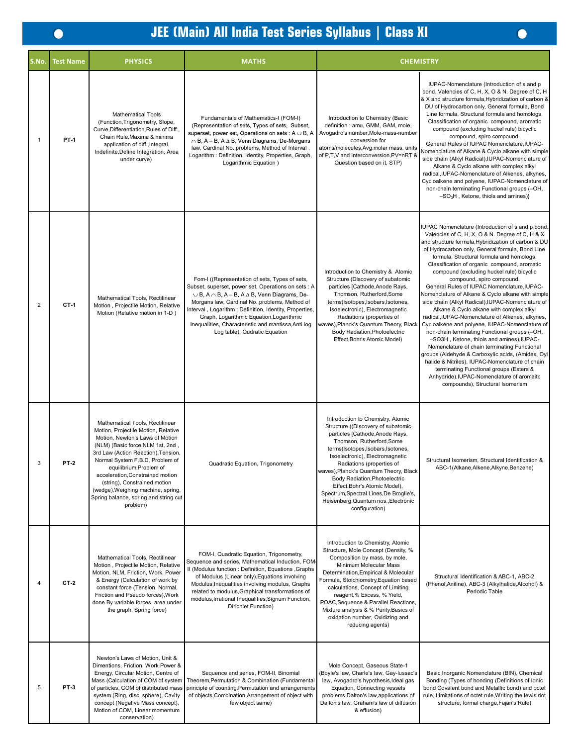| S.No.          | <b>Test Name</b> | <b>PHYSICS</b>                                                                                                                                                                                                                                                                                                                                                                                                    | <b>MATHS</b>                                                                                                                                                                                                                                                                                                                                                                                                          | <b>CHEMISTRY</b>                                                                                                                                                                                                                                                                                                                                                                                                                                             |                                                                                                                                                                                                                                                                                                                                                                                                                                                                                                                                                                                                                                                                                                                                                                                                                                                                                                                                                                                                                                                                                    |  |  |
|----------------|------------------|-------------------------------------------------------------------------------------------------------------------------------------------------------------------------------------------------------------------------------------------------------------------------------------------------------------------------------------------------------------------------------------------------------------------|-----------------------------------------------------------------------------------------------------------------------------------------------------------------------------------------------------------------------------------------------------------------------------------------------------------------------------------------------------------------------------------------------------------------------|--------------------------------------------------------------------------------------------------------------------------------------------------------------------------------------------------------------------------------------------------------------------------------------------------------------------------------------------------------------------------------------------------------------------------------------------------------------|------------------------------------------------------------------------------------------------------------------------------------------------------------------------------------------------------------------------------------------------------------------------------------------------------------------------------------------------------------------------------------------------------------------------------------------------------------------------------------------------------------------------------------------------------------------------------------------------------------------------------------------------------------------------------------------------------------------------------------------------------------------------------------------------------------------------------------------------------------------------------------------------------------------------------------------------------------------------------------------------------------------------------------------------------------------------------------|--|--|
| 1              | <b>PT-1</b>      | <b>Mathematical Tools</b><br>(Function, Trigonometry, Slope,<br>Curve, Differentiation, Rules of Diff.,<br>Chain Rule, Maxima & minima<br>application of diff., Integral.<br>Indefinite, Define Integration, Area<br>under curve)                                                                                                                                                                                 | Fundamentals of Mathematics-I (FOM-I)<br>(Representation of sets, Types of sets, Subset,<br>superset, power set, Operations on sets : A $\cup$ B, A<br>$\cap$ B, A – B, A $\triangle$ B, Venn Diagrams, De-Morgans<br>law, Cardinal No. problems, Method of Interval,<br>Logarithm: Definition, Identity, Properties, Graph,<br>Logarithmic Equation )                                                                | Introduction to Chemistry (Basic<br>definition : amu, GMM, GAM, mole,<br>Avogadro's number, Mole-mass-number<br>conversion for<br>atoms/molecules, Avg.molar mass, units<br>of P,T,V and interconversion, PV=nRT &<br>Question based on it, STP)                                                                                                                                                                                                             | IUPAC-Nomenclature (Introduction of s and p<br>bond. Valencies of C, H, X, O & N. Degree of C, H<br>& X and structure formula, Hybridization of carbon &<br>DU of Hydrocarbon only, General formula, Bond<br>Line formula, Structural formula and homologs,<br>Classification of organic compound, aromatic<br>compound (excluding huckel rule) bicyclic<br>compound, spiro compound.<br>General Rules of IUPAC Nomenclature, IUPAC-<br>Nomenclature of Alkane & Cyclo alkane with simple<br>side chain (Alkyl Radical), IUPAC-Nomenclature of<br>Alkane & Cyclo alkane with complex alkyl<br>radical, IUPAC-Nomenclature of Alkenes, alkynes,<br>Cycloalkene and polyene, IUPAC-Nomenclature of<br>non-chain terminating Functional groups (-OH,<br>$-SO3H$ , Ketone, thiols and amines)}                                                                                                                                                                                                                                                                                         |  |  |
| $\overline{2}$ | CT-1             | Mathematical Tools, Rectilinear<br>Motion, Projectile Motion, Relative<br>Motion (Relative motion in 1-D)                                                                                                                                                                                                                                                                                                         | Fom-I ((Representation of sets, Types of sets,<br>Subset, superset, power set, Operations on sets : A<br>$\cup$ B, A $\cap$ B, A – B, A $\Delta$ B, Venn Diagrams, De-<br>Morgans law, Cardinal No. problems, Method of<br>Interval, Logarithm: Definition, Identity, Properties,<br>Graph, Logarithmic Equation, Logarithmic<br>Inequalities, Characteristic and mantissa, Anti log<br>Log table), Qudratic Equation | Introduction to Chemistry & Atomic<br>Structure (Discovery of subatomic<br>particles [Cathode, Anode Rays,<br>Thomson, Rutherford, Some<br>terms(Isotopes,Isobars,Isotones,<br>Isoelectronic), Electromagnetic<br>Radiations (properties of<br>waves), Planck's Quantum Theory, Black<br>Body Radiation, Photoelectric<br>Effect, Bohr's Atomic Model)                                                                                                       | UPAC Nomenclature (Introduction of s and p bond.<br>Valencies of C, H, X, O & N. Degree of C, H & X<br>and structure formula, Hybridization of carbon & DU<br>of Hydrocarbon only, General formula, Bond Line<br>formula, Structural formula and homologs,<br>Classification of organic compound, aromatic<br>compound (excluding huckel rule) bicyclic<br>compound, spiro compound.<br>General Rules of IUPAC Nomenclature, IUPAC-<br>Nomenclature of Alkane & Cyclo alkane with simple<br>side chain (Alkyl Radical), IUPAC-Nomenclature of<br>Alkane & Cyclo alkane with complex alkyl<br>radical, IUPAC-Nomenclature of Alkenes, alkynes,<br>Cycloalkene and polyene, IUPAC-Nomenclature of<br>non-chain terminating Functional groups (-OH,<br>-SO3H, Ketone, thiols and amines), IUPAC-<br>Nomenclature of chain terminating Functional<br>groups (Aldehyde & Carboxylic acids, (Amides, Oyl<br>halide & Nitriles), IUPAC-Nomenclature of chain<br>terminating Functional groups (Esters &<br>Anhydride), IUPAC-Nomenclature of aromaitc<br>compounds), Structural Isomerism |  |  |
| 3              | PT-2             | Mathematical Tools, Rectilinear<br>Motion, Projectile Motion, Relative<br>Motion, Newton's Laws of Motion<br>(NLM) (Basic force, NLM 1st, 2nd,<br>3rd Law (Action Reaction), Tension,<br>Normal System F.B.D, Problem of<br>equilibrium, Problem of<br>acceleration,Constrained motion<br>(string), Constrained motion<br>(wedge), Weighing machine, spring,<br>Spring balance, spring and string cut<br>problem) | Quadratic Equation, Trigonometry                                                                                                                                                                                                                                                                                                                                                                                      | Introduction to Chemistry, Atomic<br>Structure ((Discovery of subatomic<br>particles [Cathode, Anode Rays,<br>Thomson, Rutherford, Some<br>terms(Isotopes,Isobars,Isotones,<br>Isoelectronic), Electromagnetic<br>Radiations (properties of<br>waves), Planck's Quantum Theory, Black<br>Body Radiation, Photoelectric<br>Effect, Bohr's Atomic Model),<br>Spectrum, Spectral Lines, De Broglie's,<br>Heisenberg, Quantum nos., Electronic<br>configuration) | Structural Isomerism, Structural Identification &<br>ABC-1(Alkane,Alkene,Alkyne,Benzene)                                                                                                                                                                                                                                                                                                                                                                                                                                                                                                                                                                                                                                                                                                                                                                                                                                                                                                                                                                                           |  |  |
| $\overline{4}$ | $CT-2$           | Mathematical Tools, Rectilinear<br>Motion, Projectile Motion, Relative<br>Motion, NLM, Friction, Work, Power<br>& Energy (Calculation of work by<br>constant force (Tension, Normal,<br>Friction and Pseudo forces), Work<br>done By variable forces, area under<br>the graph, Spring force)                                                                                                                      | FOM-I, Quadratic Equation, Trigonometry,<br>Sequence and series, Mathematical Induction, FOM-<br>Il (Modulus function : Definition, Equations , Graphs<br>of Modulus (Linear only), Equations involving<br>Modulus, Inequalities involving modulus, Graphs<br>related to modulus, Graphical transformations of<br>modulus, Irrational Inequalities, Signum Function,<br>Dirichlet Function)                           | Introduction to Chemistry, Atomic<br>Structure, Mole Concept (Density, %<br>Composition by mass, by mole,<br>Minimum Molecular Mass<br>Determination, Empirical & Molecular<br>Formula, Stoichiometry, Equation based<br>calculations, Concept of Limiting<br>reagent,% Excess, % Yield,<br>POAC, Sequence & Parallel Reactions,<br>Mixture analysis & % Purity, Basics of<br>oxidation number, Oxidizing and<br>reducing agents)                            | Structural Identification & ABC-1, ABC-2<br>(Phenol, Aniline), ABC-3 (Alkylhalide, Alcohol) &<br>Periodic Table                                                                                                                                                                                                                                                                                                                                                                                                                                                                                                                                                                                                                                                                                                                                                                                                                                                                                                                                                                    |  |  |
| 5              | <b>PT-3</b>      | Newton's Laws of Motion, Unit &<br>Dimentions, Friction, Work Power &<br>Energy, Circular Motion, Centre of<br>Mass (Calculation of COM of system<br>of particles, COM of distributed mass<br>system (Ring, disc, sphere), Cavity<br>concept (Negative Mass concept),<br>Motion of COM, Linear momentum<br>conservation)                                                                                          | Sequence and series, FOM-II, Binomial<br>Theorem, Permutation & Combination (Fundamental<br>principle of counting, Permutation and arrangements<br>of objects, Combination, Arrangement of object with<br>few object same)                                                                                                                                                                                            | Mole Concept, Gaseous State-1<br>(Boyle's law, Charle's law, Gay-lussac's<br>law, Avogadro's hypothesis, Ideal gas<br>Equation, Connecting vessels<br>problems, Dalton's law, applications of<br>Dalton's law, Graham's law of diffusion<br>& effusion)                                                                                                                                                                                                      | Basic Inorganic Nomenclature (BIN), Chemical<br>Bonding (Types of bonding (Definitions of lonic<br>bond Covalent bond and Metallic bond) and octet<br>rule, Limitations of octet rule, Writing the lewis dot<br>structure, formal charge, Fajan's Rule)                                                                                                                                                                                                                                                                                                                                                                                                                                                                                                                                                                                                                                                                                                                                                                                                                            |  |  |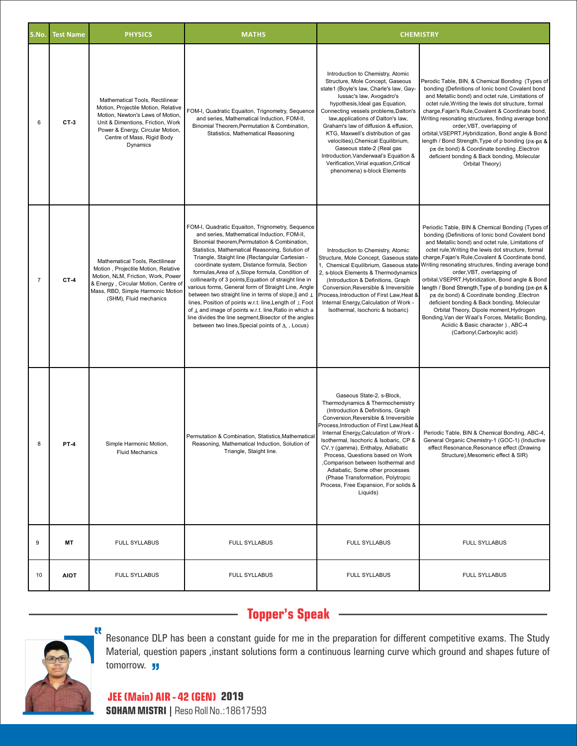| S.No.          | <b>Test Name</b> | <b>PHYSICS</b>                                                                                                                                                                                                                | <b>MATHS</b>                                                                                                                                                                                                                                                                                                                                                                                                                                                                                                                                                                                                                                                                                                                                                                              | <b>CHEMISTRY</b>                                                                                                                                                                                                                                                                                                                                                                                                                                                                                                                    |                                                                                                                                                                                                                                                                                                                                                                                                                                                                                                                                                                                                                                                                                                                                                            |  |
|----------------|------------------|-------------------------------------------------------------------------------------------------------------------------------------------------------------------------------------------------------------------------------|-------------------------------------------------------------------------------------------------------------------------------------------------------------------------------------------------------------------------------------------------------------------------------------------------------------------------------------------------------------------------------------------------------------------------------------------------------------------------------------------------------------------------------------------------------------------------------------------------------------------------------------------------------------------------------------------------------------------------------------------------------------------------------------------|-------------------------------------------------------------------------------------------------------------------------------------------------------------------------------------------------------------------------------------------------------------------------------------------------------------------------------------------------------------------------------------------------------------------------------------------------------------------------------------------------------------------------------------|------------------------------------------------------------------------------------------------------------------------------------------------------------------------------------------------------------------------------------------------------------------------------------------------------------------------------------------------------------------------------------------------------------------------------------------------------------------------------------------------------------------------------------------------------------------------------------------------------------------------------------------------------------------------------------------------------------------------------------------------------------|--|
| 6              | CT-3             | Mathematical Tools, Rectilinear<br>Motion, Projectile Motion, Relative<br>Motion, Newton's Laws of Motion,<br>Unit & Dimentions, Friction, Work<br>Power & Energy, Circular Motion,<br>Centre of Mass, Rigid Body<br>Dynamics | FOM-I, Quadratic Equaiton, Trignometry, Sequence<br>and series, Mathematical Induction, FOM-II,<br>Binomial Theorem, Permutation & Combination,<br>Statistics, Mathematical Reasoning                                                                                                                                                                                                                                                                                                                                                                                                                                                                                                                                                                                                     | Introduction to Chemistry, Atomic<br>Structure, Mole Concept, Gaseous<br>state1 (Boyle's law, Charle's law, Gay-<br>lussac's law, Avogadro's<br>hypothesis, Ideal gas Equation,<br>Connecting vessels problems, Dalton's<br>law, applications of Dalton's law,<br>Graham's law of diffusion & effusion.<br>KTG, Maxwell's distribution of gas<br>velocities), Chemical Equilibrium,<br>Gaseous state-2 (Real gas<br>Introduction, Vanderwaal's Equation &<br>Verification, Virial equation, Critical<br>phenomena) s-block Elements | Perodic Table, BIN, & Chemical Bonding (Types of<br>bonding (Definitions of lonic bond Covalent bond<br>and Metallic bond) and octet rule, Limitations of<br>octet rule, Writing the lewis dot structure, formal<br>charge, Fajan's Rule, Covalent & Coordinate bond,<br>Writing resonating structures, finding average bond<br>order, VBT, overlapping of<br>orbital, VSEPRT, Hybridization, Bond angle & Bond<br>length / Bond Strength, Type of p bonding ( $p\pi$ - $p\pi$ &<br>$p\pi$ d $\pi$ bond) & Coordinate bonding , Electron<br>deficient bonding & Back bonding, Molecular<br>Orbital Theory)                                                                                                                                                 |  |
| $\overline{7}$ | $CT-4$           | Mathematical Tools, Rectilinear<br>Motion, Projectile Motion, Relative<br>Motion, NLM, Friction, Work, Power<br>& Energy, Circular Motion, Centre of<br>Mass, RBD, Simple Harmonic Motion<br>(SHM), Fluid mechanics           | FOM-I, Quadratic Equaiton, Trignometry, Sequence<br>and series, Mathematical Induction, FOM-II,<br>Binomial theorem, Permutation & Combination,<br>Statistics, Mathematical Reasoning, Solution of<br>Triangle, Staight line (Rectangular Cartesian -<br>coordinate system, Distance formula, Section<br>formulas, Area of A, Slope formula, Condition of<br>collinearity of 3 points, Equation of straight line in<br>various forms, General form of Straight Line, Angle<br>between two straight line in terms of slope,    and $\perp$<br>lines, Position of points w.r.t. line, Length of $\perp$ Foot<br>of ⊥ and image of points w.r.t. line, Ratio in which a<br>line divides the line segment, Bisector of the angles<br>between two lines, Special points of $\Delta$ , , Locus) | Introduction to Chemistry, Atomic<br>Structure, Mole Concept, Gaseous state<br>1, Chemical Equilibrium, Gaseous state-<br>2, s-block Elements & Thermodynamics<br>(Introduction & Definitions, Graph<br>Conversion, Reversible & Irreversible<br>Process, Introduction of First Law, Heat &<br>Internal Energy, Calculation of Work -<br>Isothermal, Isochoric & Isobaric)                                                                                                                                                          | Periodic Table, BIN & Chemical Bonding (Types of<br>bonding (Definitions of lonic bond Covalent bond<br>and Metallic bond) and octet rule, Limitations of<br>octet rule, Writing the lewis dot structure, formal<br>charge, Fajan's Rule, Covalent & Coordinate bond,<br>Writing resonating structures, finding average bond<br>order, VBT, overlapping of<br>orbital, VSEPRT, Hybridization, Bond angle & Bond<br>length / Bond Strength, Type of p bonding ( $p\pi$ - $p\pi$ &<br>$p\pi$ d $\pi$ bond) & Coordinate bonding , Electron<br>deficient bonding & Back bonding, Molecular<br>Orbital Theory, Dipole moment, Hydrogen<br>Bonding, Van der Waal's Forces, Metallic Bonding,<br>Aciidic & Basic character), ABC-4<br>(Carbonyl,Carboxylic acid) |  |
| 8              | <b>PT-4</b>      | Simple Harmonic Motion,<br><b>Fluid Mechanics</b>                                                                                                                                                                             | Permutation & Combination, Statistics, Mathematical<br>Reasoning, Mathematical Induction, Solution of<br>Triangle, Staight line.                                                                                                                                                                                                                                                                                                                                                                                                                                                                                                                                                                                                                                                          | Gaseous State-2, s-Block,<br>Thermodynamics & Thermochemistry<br>(Introduction & Definitions, Graph<br>Conversion, Reversible & Irreversible<br>Process, Introduction of First Law, Heat &<br>Internal Energy, Calculation of Work -<br>Isothermal, Isochoric & Isobaric, CP &<br>CV, γ (gamma), Enthalpy, Adiabatic<br>Process, Questions based on Work<br>,Comparison between Isothermal and<br>Adiabatic, Some other processes<br>(Phase Transformation, Polytropic<br>Process, Free Expansion, For solids &<br>Liquids)         | Periodic Table, BIN & Chemical Bonding, ABC-4,<br>General Organic Chemistry-1 (GOC-1) (Inductive<br>effect Resonance, Resonance effect (Drawing<br>Structure), Mesomeric effect & SIR)                                                                                                                                                                                                                                                                                                                                                                                                                                                                                                                                                                     |  |
| 9              | MT               | <b>FULL SYLLABUS</b>                                                                                                                                                                                                          | <b>FULL SYLLABUS</b>                                                                                                                                                                                                                                                                                                                                                                                                                                                                                                                                                                                                                                                                                                                                                                      | <b>FULL SYLLABUS</b>                                                                                                                                                                                                                                                                                                                                                                                                                                                                                                                | <b>FULL SYLLABUS</b>                                                                                                                                                                                                                                                                                                                                                                                                                                                                                                                                                                                                                                                                                                                                       |  |
| 10             | <b>AIOT</b>      | <b>FULL SYLLABUS</b>                                                                                                                                                                                                          | <b>FULL SYLLABUS</b>                                                                                                                                                                                                                                                                                                                                                                                                                                                                                                                                                                                                                                                                                                                                                                      | <b>FULL SYLLABUS</b>                                                                                                                                                                                                                                                                                                                                                                                                                                                                                                                | <b>FULL SYLLABUS</b>                                                                                                                                                                                                                                                                                                                                                                                                                                                                                                                                                                                                                                                                                                                                       |  |

## **Topper's Speak**



Resonance DLP has been a constant guide for me in the preparation for different competitive exams. The Study Material, question papers ,instant solutions form a continuous learning curve which ground and shapes future of tomorrow. **JJ**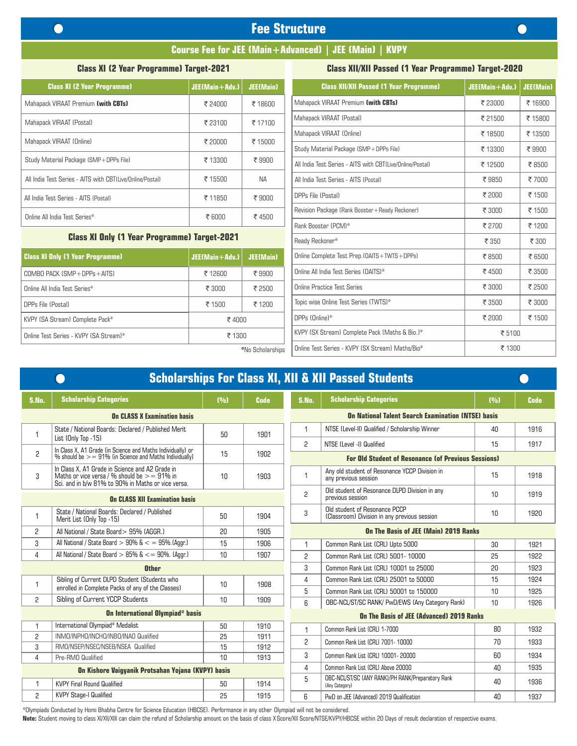## **Fee Structure**

#### **Course Fee for JEE (Main+Advanced) | JEE (Main) | KVPY**

#### **Class XI (2 Year Programme) Target-2021**

#### **Class XII/XII Passed (1 Year Programme) Target-2020**

| <b>Class XI (2 Year Programme)</b>                        | $JEE(Main + Adv.)$ | <b>JEE(Main)</b> | <b>Class XII/XII Passed (1 Year</b>         |
|-----------------------------------------------------------|--------------------|------------------|---------------------------------------------|
| Mahapack VIRAAT Premium (with CBTs)                       | ₹ 24000            | ₹ 18600          | Mahapack VIRAAT Premium (with CBTs)         |
| Mahapack VIRAAT (Postal)                                  | ₹ 23100            | ₹ 17100          | Mahapack VIRAAT (Postal)                    |
| Mahapack VIRAAT (Online)                                  | ₹ 20000            | ₹ 15000          | Mahapack VIRAAT (Online)                    |
|                                                           |                    |                  | Study Material Package (SMP+DPPs File       |
| Study Material Package (SMP+DPPs File)                    | ₹ 13300            | ₹9900            | All India Test Series - AITS with CBT(Live/ |
| All India Test Series - AITS with CBT(Live/Online/Postal) | ₹ 15500            | <b>NA</b>        | All India Test Series - AITS (Postal)       |
| All India Test Series - AITS (Postal)                     | ₹ 11850            | ₹9000            | DPPs File (Postal)                          |
| Online All India Test Series*                             | ₹ 6000             | ₹4500            | Revision Package (Rank Booster+Ready R      |
|                                                           |                    |                  | Rank Booster (PCM)*                         |

#### **Class XI Only (1 Year Programme) Target-2021**

| <b>Class XI Only (1 Year Programme)</b> | $JEE(Main + Adv.)$                   | JEE(Main) | Online Complete Test Prep. (OAITS + TWTS + DPPs) |
|-----------------------------------------|--------------------------------------|-----------|--------------------------------------------------|
| $COMBO$ PACK $(SMP + DPPs + AITS)$      | ₹ 12600                              | ₹9900     | Online All India Test Series (OAITS)*            |
| Online All India Test Series*           | ₹ 2500<br>₹ 3000<br>₹ 1200<br>₹ 1500 |           | Online Practice Test Series                      |
| DPPs File (Postal)                      |                                      |           | Topic wise Online Test Series (TWTS)*            |
| KVPY (SA Stream) Complete Pack*         | ₹4000                                |           | DPPs (Online)*                                   |
| Online Test Series - KVPY (SA Stream)*  | ₹ 1300                               |           | KVPY (SX Stream) Complete Pack (Maths & Bio.)*   |
|                                         |                                      |           |                                                  |

| (Jubl            | <b>JEE(Main)</b>                                        | <b>Class XII/XII Passed (1 Year Programme)</b>            | JEE(Main+Adv.) | <b>JEE(Main)</b> |  |
|------------------|---------------------------------------------------------|-----------------------------------------------------------|----------------|------------------|--|
|                  | ₹ 18600                                                 | Mahapack VIRAAT Premium (with CBTs)                       | ₹ 23000        | ₹ 16900          |  |
|                  | ₹ 17100                                                 | Mahapack VIRAAT (Postal)                                  | ₹ 21500        | ₹ 15800          |  |
|                  | ₹ 15000                                                 | Mahapack VIRAAT (Online)                                  | ₹ 18500        | ₹ 13500          |  |
|                  |                                                         | Study Material Package (SMP+DPPs File)                    | ₹ 13300        | ₹9900            |  |
|                  | ₹9900                                                   | All India Test Series - AITS with CBT(Live/Online/Postal) | ₹ 12500        | ₹8500            |  |
|                  | <b>NA</b>                                               | All India Test Series - AITS (Postal)                     | ₹9850          | ₹7000            |  |
|                  | ₹9000                                                   | DPPs File (Postal)                                        | ₹ 2000         | ₹ 1500           |  |
|                  | Revision Package (Rank Booster+Ready Reckoner)<br>₹4500 |                                                           | ₹ 3000         | ₹ 1500           |  |
|                  |                                                         | Rank Booster (PCM)*                                       | ₹ 2700         | ₹ 1200           |  |
| 121              |                                                         | Ready Reckoner*                                           | ₹ 350          | ₹ 300            |  |
| (du)             | <b>JEE(Main)</b>                                        | Online Complete Test Prep.(OAITS+TWTS+DPPs)               | ₹8500          | ₹ 6500           |  |
|                  | ₹9900                                                   | Online All India Test Series (OAITS)*                     | ₹4500          | ₹ 3500           |  |
|                  | ₹ 2500                                                  | Online Practice Test Series                               | ₹ 3000         | ₹ 2500           |  |
|                  | Topic wise Online Test Series (TWTS)*<br>₹ 1200         |                                                           | ₹ 3500         | ₹ 3000           |  |
| ₹4000            |                                                         | DPPs (Online)*                                            | ₹ 2000         | ₹ 1500           |  |
| ₹ 1300           |                                                         | KVPY (SX Stream) Complete Pack (Maths & Bio.)*            | ₹ 5100         |                  |  |
| *No Scholarships |                                                         | Online Test Series - KVPY (SX Stream) Maths/Bio*          | ₹ 1300         |                  |  |

|                                                    |                                                                                                                                                         |       |             | <b>Scholarships For Class XI, XII &amp; XII Passed Students</b> |                                                                               |       |             |
|----------------------------------------------------|---------------------------------------------------------------------------------------------------------------------------------------------------------|-------|-------------|-----------------------------------------------------------------|-------------------------------------------------------------------------------|-------|-------------|
| S.No.                                              | <b>Scholarship Categories</b>                                                                                                                           | (9/0) | <b>Code</b> | S.No.                                                           | <b>Scholarship Categories</b>                                                 | (0/0) | <b>Code</b> |
|                                                    | <b>On CLASS X Examination basis</b>                                                                                                                     |       |             | <b>On National Talent Search Examination (NTSE) basis</b>       |                                                                               |       |             |
| 1                                                  | State / National Boards: Declared / Published Merit<br>List (Only Top -15)                                                                              | 50    | 1901        | $\mathbf{1}$                                                    | NTSE (Level-II) Qualified / Scholarship Winner                                | 40    | 1916        |
|                                                    |                                                                                                                                                         |       |             | $\overline{c}$                                                  | NTSE (Level -I) Qualified                                                     | 15    | 1917        |
| $\overline{c}$                                     | In Class X, A1 Grade (in Science and Maths Individually) or % should be $> = 91\%$ (in Science and Maths Individually)                                  | 15    | 1902        |                                                                 | <b>For Old Student of Resonance (of Previous Sessions)</b>                    |       |             |
| 3                                                  | In Class X. A1 Grade in Science and A2 Grade in<br>Maths or vice versa / % should be $>$ = 91% in<br>Sci. and in b/w 81% to 90% in Maths or vice versa. | 10    | 1903        | $\mathbf{1}$                                                    | Any old student of Resonance YCCP Division in<br>any previous session         | 15    | 1918        |
|                                                    | <b>On CLASS XII Examination basis</b>                                                                                                                   |       |             | $\overline{c}$                                                  | Old student of Resonance DLPD Division in any<br>previous session             | 10    | 1919        |
| $\mathbf{1}$                                       | State / National Boards: Declared / Published<br>Merit List (Only Top -15)                                                                              | 50    | 1904        | 3                                                               | Old student of Resonance PCCP<br>(Classroom) Division in any previous session | 10    | 1920        |
| $\overline{c}$                                     | All National / State Board > 95% (AGGR.)                                                                                                                | 20    | 1905        | On The Basis of JEE (Main) 2019 Ranks                           |                                                                               |       |             |
| 3                                                  | All National / State Board $> 90\%$ & $<$ = 95%. (Aggr.)                                                                                                | 15    | 1906        | $\mathbf{1}$                                                    | Common Rank List (CRL) Upto 5000                                              | 30    | 1921        |
| 4                                                  | All National / State Board $> 85\%$ & $\lt$ = 90%. (Aggr.)                                                                                              | 10    | 1907        | 2                                                               | Common Rank List (CRL) 5001-10000                                             | 25    | 1922        |
| <b>Other</b>                                       |                                                                                                                                                         |       |             |                                                                 | Common Rank List (CRL) 10001 to 25000                                         | 20    | 1923        |
| $\mathbf{1}$                                       | Sibling of Current DLPD Student (Students who                                                                                                           | 10    | 1908        | 4                                                               | Common Rank List (CRL) 25001 to 50000                                         | 15    | 1924        |
|                                                    | enrolled in Complete Packs of any of the Classes)                                                                                                       |       |             | 5                                                               | Common Rank List (CRL) 50001 to 150000                                        | 10    | 1925        |
| 2                                                  | Sibling of Current YCCP Students                                                                                                                        | 10    | 1909        | 6                                                               | OBC-NCL/ST/SC RANK/ PwD/EWS (Any Category Rank)                               | 10    | 1926        |
|                                                    | <b>On International Olympiad<sup>®</sup> basis</b>                                                                                                      |       |             |                                                                 | On The Basis of JEE (Advanced) 2019 Ranks                                     |       |             |
| $\mathbf{1}$                                       | International Olympiad* Medalist                                                                                                                        | 50    | 1910        | $\mathbf{1}$                                                    | Common Rank List (CRL) 1-7000                                                 | 80    | 1932        |
| 2                                                  | INMO/INPHO/INCHO/INBO/INAO Qualified                                                                                                                    | 25    | 1911        | 2                                                               | Common Rank List (CRL) 7001- 10000                                            | 70    | 1933        |
| 3                                                  | RMO/NSEP/NSEC/NSEB/NSEA Qualified                                                                                                                       | 15    | 1912        |                                                                 |                                                                               |       |             |
| 4                                                  | Pre-RMO Qualified                                                                                                                                       | 10    | 1913        | 3                                                               | Common Rank List (CRL) 10001-20000                                            | 60    | 1934        |
| On Kishore Vaiqyanik Protsahan Yojana (KVPY) basis |                                                                                                                                                         |       |             | 4                                                               | Common Rank List (CRL) Above 20000                                            | 40    | 1935        |
| 1                                                  | <b>KVPY Final Round Qualified</b>                                                                                                                       | 50    | 1914        | 5                                                               | OBC-NCL/ST/SC (ANY RANK)/PH RANK/Preparatory Rank<br>(Any Category)           | 40    | 1936        |
| 2                                                  | <b>KVPY Stage-I Qualified</b>                                                                                                                           | 25    | 1915        | ĥ.                                                              | PwD on JEE (Advanced) 2019 Qualification                                      | 40    | 1937        |
|                                                    |                                                                                                                                                         |       |             |                                                                 |                                                                               |       |             |

\*Olympiads Conducted by Homi Bhabha Centre for Science Education (HBCSE). Performance in any other Olympiad will not be considered.

Note: Student moving to class XI/XII/XIII can claim the refund of Scholarship amount on the basis of class X Score/XII Score/NTSE/KVPY/HBCSE within 20 Days of result declaration of respective exams.